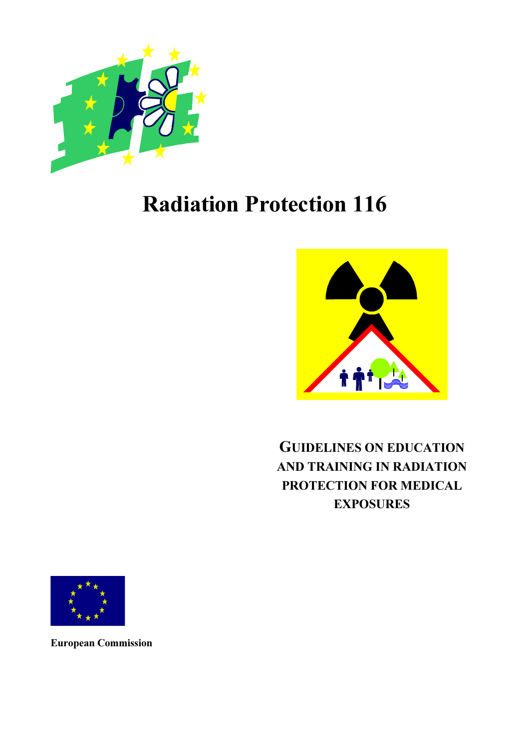

# Radiation Protection 116



## GUIDELINES ON EDUCATION AND TRAINING IN RADIATION PROTECTION FOR MEDICAL **EXPOSURES**



European Commission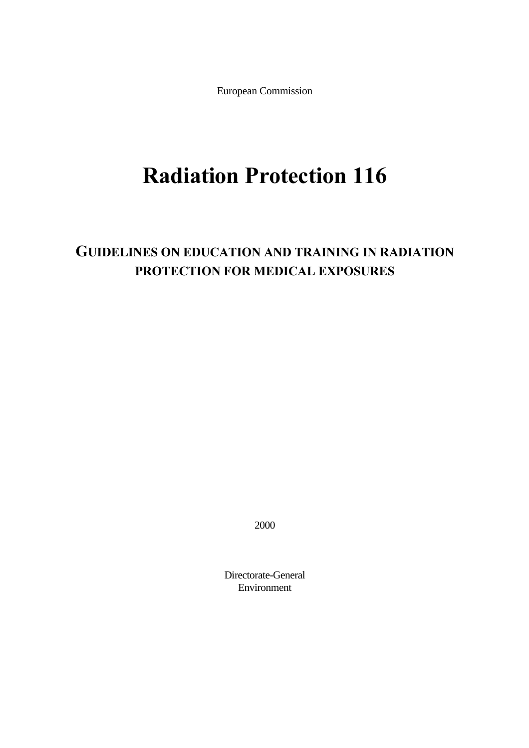European Commission

# Radiation Protection 116

## GUIDELINES ON EDUCATION AND TRAINING IN RADIATION PROTECTION FOR MEDICAL EXPOSURES

2000

Directorate-General Environment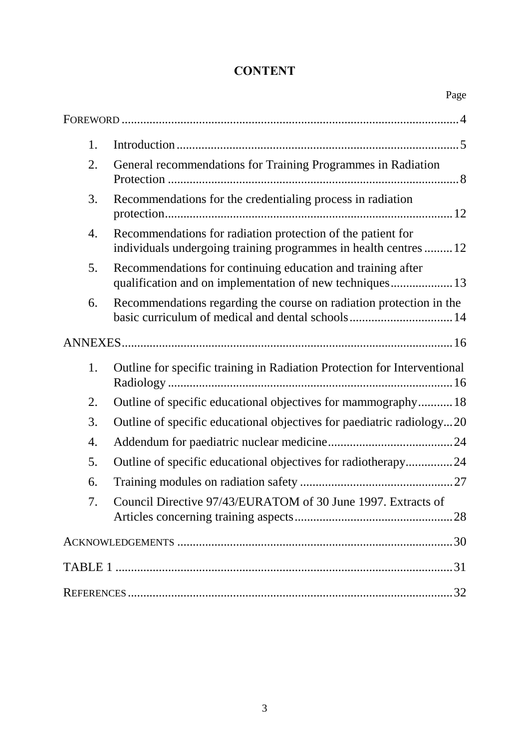## **CONTENT**

|    | Page                                                                                                                            |
|----|---------------------------------------------------------------------------------------------------------------------------------|
|    |                                                                                                                                 |
| 1. |                                                                                                                                 |
| 2. | General recommendations for Training Programmes in Radiation                                                                    |
| 3. | Recommendations for the credentialing process in radiation                                                                      |
| 4. | Recommendations for radiation protection of the patient for<br>individuals undergoing training programmes in health centres  12 |
| 5. | Recommendations for continuing education and training after<br>qualification and on implementation of new techniques 13         |
| 6. | Recommendations regarding the course on radiation protection in the<br>basic curriculum of medical and dental schools14         |
|    |                                                                                                                                 |
| 1. | Outline for specific training in Radiation Protection for Interventional                                                        |
| 2. | Outline of specific educational objectives for mammography18                                                                    |
| 3. | Outline of specific educational objectives for paediatric radiology20                                                           |
| 4. |                                                                                                                                 |
| 5. | Outline of specific educational objectives for radiotherapy24                                                                   |
| 6. |                                                                                                                                 |
| 7. | Council Directive 97/43/EURATOM of 30 June 1997. Extracts of                                                                    |
|    |                                                                                                                                 |
|    |                                                                                                                                 |
|    |                                                                                                                                 |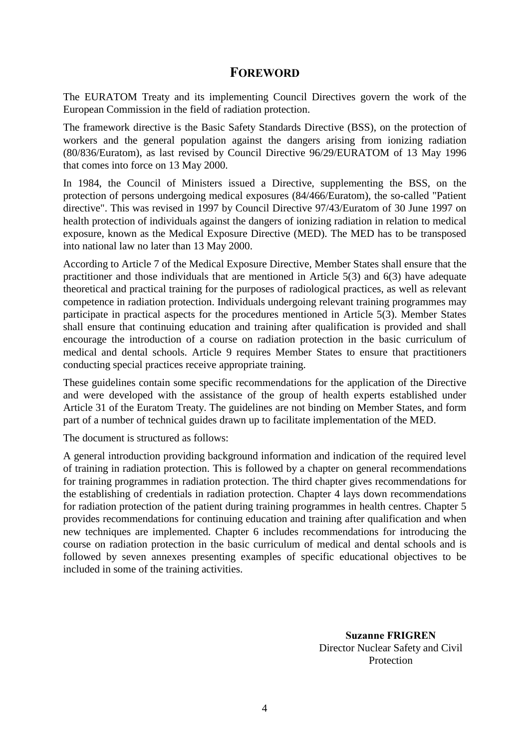## **FOREWORD**

The EURATOM Treaty and its implementing Council Directives govern the work of the European Commission in the field of radiation protection.

The framework directive is the Basic Safety Standards Directive (BSS), on the protection of workers and the general population against the dangers arising from ionizing radiation (80/836/Euratom), as last revised by Council Directive 96/29/EURATOM of 13 May 1996 that comes into force on 13 May 2000.

In 1984, the Council of Ministers issued a Directive, supplementing the BSS, on the protection of persons undergoing medical exposures (84/466/Euratom), the so-called "Patient directive". This was revised in 1997 by Council Directive 97/43/Euratom of 30 June 1997 on health protection of individuals against the dangers of ionizing radiation in relation to medical exposure, known as the Medical Exposure Directive (MED). The MED has to be transposed into national law no later than 13 May 2000.

According to Article 7 of the Medical Exposure Directive, Member States shall ensure that the practitioner and those individuals that are mentioned in Article 5(3) and 6(3) have adequate theoretical and practical training for the purposes of radiological practices, as well as relevant competence in radiation protection. Individuals undergoing relevant training programmes may participate in practical aspects for the procedures mentioned in Article 5(3). Member States shall ensure that continuing education and training after qualification is provided and shall encourage the introduction of a course on radiation protection in the basic curriculum of medical and dental schools. Article 9 requires Member States to ensure that practitioners conducting special practices receive appropriate training.

These guidelines contain some specific recommendations for the application of the Directive and were developed with the assistance of the group of health experts established under Article 31 of the Euratom Treaty. The guidelines are not binding on Member States, and form part of a number of technical guides drawn up to facilitate implementation of the MED.

The document is structured as follows:

A general introduction providing background information and indication of the required level of training in radiation protection. This is followed by a chapter on general recommendations for training programmes in radiation protection. The third chapter gives recommendations for the establishing of credentials in radiation protection. Chapter 4 lays down recommendations for radiation protection of the patient during training programmes in health centres. Chapter 5 provides recommendations for continuing education and training after qualification and when new techniques are implemented. Chapter 6 includes recommendations for introducing the course on radiation protection in the basic curriculum of medical and dental schools and is followed by seven annexes presenting examples of specific educational objectives to be included in some of the training activities.

> **Suzanne FRIGREN** Director Nuclear Safety and Civil Protection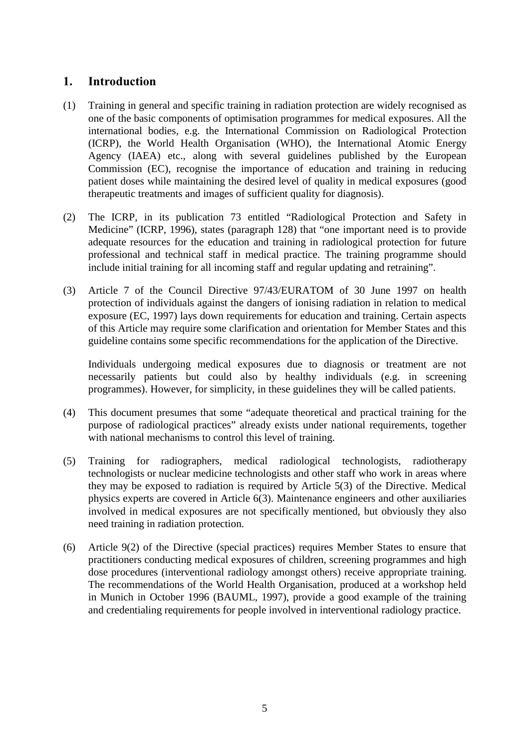## 1. Introduction

- (1) Training in general and specific training in radiation protection are widely recognised as one of the basic components of optimisation programmes for medical exposures. All the international bodies, e.g. the International Commission on Radiological Protection (ICRP), the World Health Organisation (WHO), the International Atomic Energy Agency (IAEA) etc., along with several guidelines published by the European Commission (EC), recognise the importance of education and training in reducing patient doses while maintaining the desired level of quality in medical exposures (good therapeutic treatments and images of sufficient quality for diagnosis).
- (2) The ICRP, in its publication 73 entitled "Radiological Protection and Safety in Medicine" (ICRP, 1996), states (paragraph 128) that "one important need is to provide adequate resources for the education and training in radiological protection for future professional and technical staff in medical practice. The training programme should include initial training for all incoming staff and regular updating and retraining".
- (3) Article 7 of the Council Directive 97/43/EURATOM of 30 June 1997 on health protection of individuals against the dangers of ionising radiation in relation to medical exposure (EC, 1997) lays down requirements for education and training. Certain aspects of this Article may require some clarification and orientation for Member States and this guideline contains some specific recommendations for the application of the Directive.

Individuals undergoing medical exposures due to diagnosis or treatment are not necessarily patients but could also by healthy individuals (e.g. in screening programmes). However, for simplicity, in these guidelines they will be called patients.

- (4) This document presumes that some "adequate theoretical and practical training for the purpose of radiological practices" already exists under national requirements, together with national mechanisms to control this level of training.
- (5) Training for radiographers, medical radiological technologists, radiotherapy technologists or nuclear medicine technologists and other staff who work in areas where they may be exposed to radiation is required by Article 5(3) of the Directive. Medical physics experts are covered in Article 6(3). Maintenance engineers and other auxiliaries involved in medical exposures are not specifically mentioned, but obviously they also need training in radiation protection.
- (6) Article 9(2) of the Directive (special practices) requires Member States to ensure that practitioners conducting medical exposures of children, screening programmes and high dose procedures (interventional radiology amongst others) receive appropriate training. The recommendations of the World Health Organisation, produced at a workshop held in Munich in October 1996 (BAUML, 1997), provide a good example of the training and credentialing requirements for people involved in interventional radiology practice.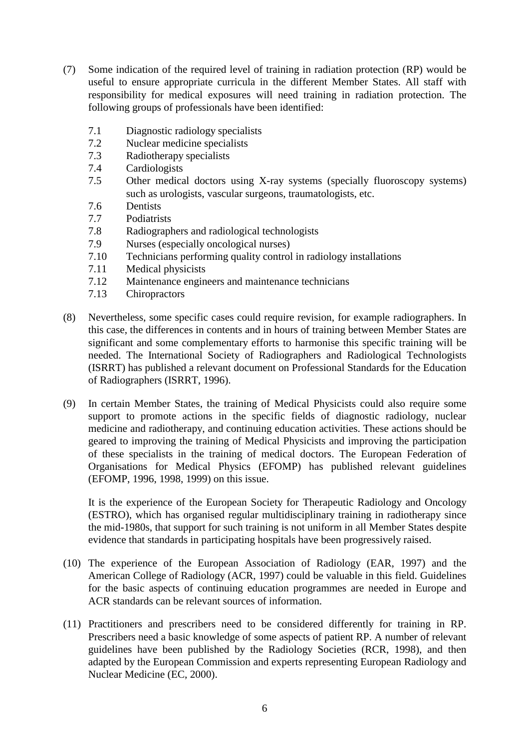- (7) Some indication of the required level of training in radiation protection (RP) would be useful to ensure appropriate curricula in the different Member States. All staff with responsibility for medical exposures will need training in radiation protection. The following groups of professionals have been identified:
	- 7.1 Diagnostic radiology specialists
	- 7.2 Nuclear medicine specialists
	- 7.3 Radiotherapy specialists
	- 7.4 Cardiologists
	- 7.5 Other medical doctors using X-ray systems (specially fluoroscopy systems) such as urologists, vascular surgeons, traumatologists, etc.
	- 7.6 Dentists
	- 7.7 Podiatrists
	- 7.8 Radiographers and radiological technologists
	- 7.9 Nurses (especially oncological nurses)
	- 7.10 Technicians performing quality control in radiology installations
	- 7.11 Medical physicists
	- 7.12 Maintenance engineers and maintenance technicians
	- 7.13 Chiropractors
- (8) Nevertheless, some specific cases could require revision, for example radiographers. In this case, the differences in contents and in hours of training between Member States are significant and some complementary efforts to harmonise this specific training will be needed. The International Society of Radiographers and Radiological Technologists (ISRRT) has published a relevant document on Professional Standards for the Education of Radiographers (ISRRT, 1996).
- (9) In certain Member States, the training of Medical Physicists could also require some support to promote actions in the specific fields of diagnostic radiology, nuclear medicine and radiotherapy, and continuing education activities. These actions should be geared to improving the training of Medical Physicists and improving the participation of these specialists in the training of medical doctors. The European Federation of Organisations for Medical Physics (EFOMP) has published relevant guidelines (EFOMP, 1996, 1998, 1999) on this issue.

It is the experience of the European Society for Therapeutic Radiology and Oncology (ESTRO), which has organised regular multidisciplinary training in radiotherapy since the mid-1980s, that support for such training is not uniform in all Member States despite evidence that standards in participating hospitals have been progressively raised.

- (10) The experience of the European Association of Radiology (EAR, 1997) and the American College of Radiology (ACR, 1997) could be valuable in this field. Guidelines for the basic aspects of continuing education programmes are needed in Europe and ACR standards can be relevant sources of information.
- (11) Practitioners and prescribers need to be considered differently for training in RP. Prescribers need a basic knowledge of some aspects of patient RP. A number of relevant guidelines have been published by the Radiology Societies (RCR, 1998), and then adapted by the European Commission and experts representing European Radiology and Nuclear Medicine (EC, 2000).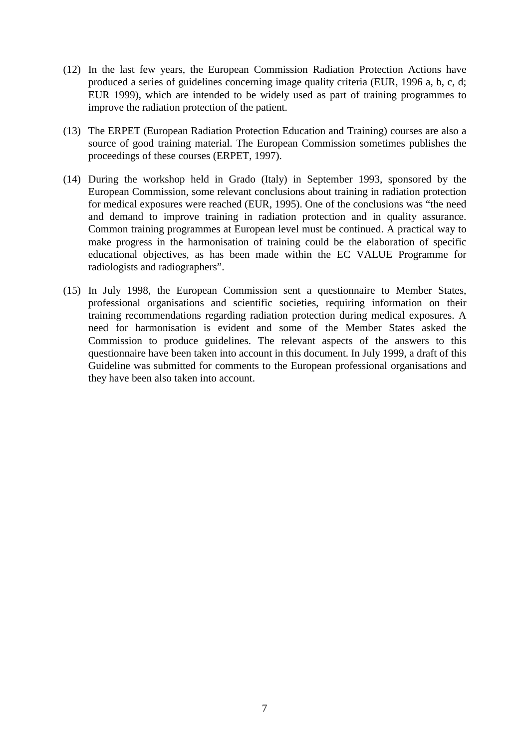- (12) In the last few years, the European Commission Radiation Protection Actions have produced a series of guidelines concerning image quality criteria (EUR, 1996 a, b, c, d; EUR 1999), which are intended to be widely used as part of training programmes to improve the radiation protection of the patient.
- (13) The ERPET (European Radiation Protection Education and Training) courses are also a source of good training material. The European Commission sometimes publishes the proceedings of these courses (ERPET, 1997).
- (14) During the workshop held in Grado (Italy) in September 1993, sponsored by the European Commission, some relevant conclusions about training in radiation protection for medical exposures were reached (EUR, 1995). One of the conclusions was "the need and demand to improve training in radiation protection and in quality assurance. Common training programmes at European level must be continued. A practical way to make progress in the harmonisation of training could be the elaboration of specific educational objectives, as has been made within the EC VALUE Programme for radiologists and radiographers".
- (15) In July 1998, the European Commission sent a questionnaire to Member States, professional organisations and scientific societies, requiring information on their training recommendations regarding radiation protection during medical exposures. A need for harmonisation is evident and some of the Member States asked the Commission to produce guidelines. The relevant aspects of the answers to this questionnaire have been taken into account in this document. In July 1999, a draft of this Guideline was submitted for comments to the European professional organisations and they have been also taken into account.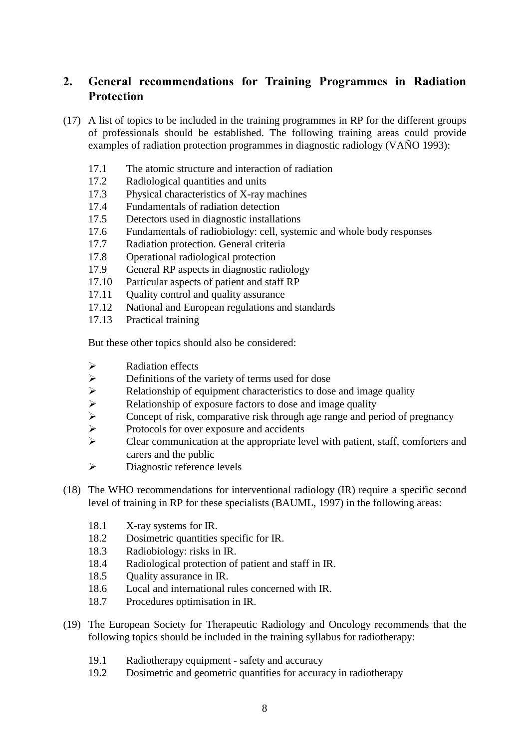## 2. General recommendations for Training Programmes in Radiation Protection

- (17) A list of topics to be included in the training programmes in RP for the different groups of professionals should be established. The following training areas could provide examples of radiation protection programmes in diagnostic radiology (VAÑO 1993):
	- 17.1 The atomic structure and interaction of radiation
	- 17.2 Radiological quantities and units
	- 17.3 Physical characteristics of X-ray machines
	- 17.4 Fundamentals of radiation detection
	- 17.5 Detectors used in diagnostic installations
	- 17.6 Fundamentals of radiobiology: cell, systemic and whole body responses
	- 17.7 Radiation protection. General criteria
	- 17.8 Operational radiological protection
	- 17.9 General RP aspects in diagnostic radiology
	- 17.10 Particular aspects of patient and staff RP
	- 17.11 Quality control and quality assurance
	- 17.12 National and European regulations and standards
	- 17.13 Practical training

But these other topics should also be considered:

- 
- ½ Definitions of the variety of terms used for dose
- →<br>
Radiation effects<br>
→<br>
Relationship of ex<br>
Relationship of ex<br>
Concept of risk, c Relationship of equipment characteristics to dose and image quality
- Relationship of exposure factors to dose and image quality
- $\triangleright$  Concept of risk, comparative risk through age range and period of pregnancy<br>
Protocols for over exposure and accidents
- $\triangleright$  Protocols for over exposure and accidents<br> $\triangleright$  Clear communication at the appropriate le
- ½ Clear communication at the appropriate level with patient, staff, comforters and carers and the public
- ½ Diagnostic reference levels
- (18) The WHO recommendations for interventional radiology (IR) require a specific second level of training in RP for these specialists (BAUML, 1997) in the following areas:
	- 18.1 X-ray systems for IR.
	- 18.2 Dosimetric quantities specific for IR.
	- 18.3 Radiobiology: risks in IR.
	- 18.4 Radiological protection of patient and staff in IR.
	- 18.5 Ouality assurance in IR.
	- 18.6 Local and international rules concerned with IR.
	- 18.7 Procedures optimisation in IR.
- (19) The European Society for Therapeutic Radiology and Oncology recommends that the following topics should be included in the training syllabus for radiotherapy:
	- 19.1 Radiotherapy equipment safety and accuracy
	- 19.2 Dosimetric and geometric quantities for accuracy in radiotherapy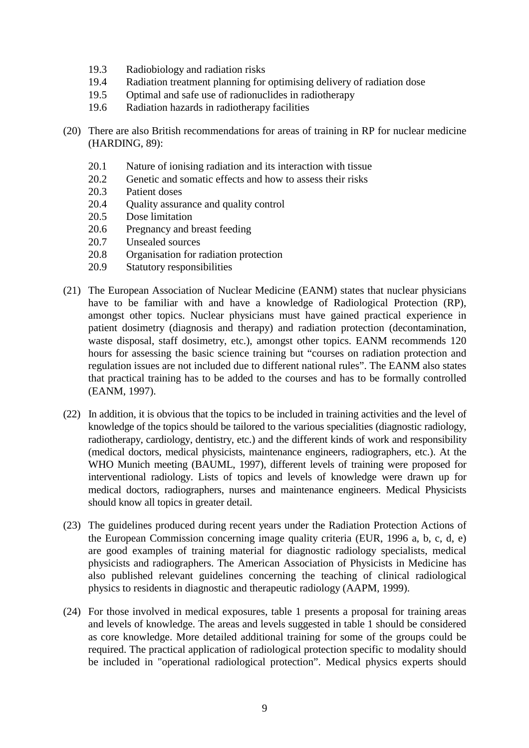- 19.3 Radiobiology and radiation risks
- 19.4 Radiation treatment planning for optimising delivery of radiation dose
- 19.5 Optimal and safe use of radionuclides in radiotherapy
- 19.6 Radiation hazards in radiotherapy facilities
- (20) There are also British recommendations for areas of training in RP for nuclear medicine (HARDING, 89):
	- 20.1 Nature of ionising radiation and its interaction with tissue
	- 20.2 Genetic and somatic effects and how to assess their risks
	- 20.3 Patient doses
	- 20.4 Quality assurance and quality control
	- 20.5 Dose limitation
	- 20.6 Pregnancy and breast feeding
	- 20.7 Unsealed sources
	- 20.8 Organisation for radiation protection
	- 20.9 Statutory responsibilities
- (21) The European Association of Nuclear Medicine (EANM) states that nuclear physicians have to be familiar with and have a knowledge of Radiological Protection (RP), amongst other topics. Nuclear physicians must have gained practical experience in patient dosimetry (diagnosis and therapy) and radiation protection (decontamination, waste disposal, staff dosimetry, etc.), amongst other topics. EANM recommends 120 hours for assessing the basic science training but "courses on radiation protection and regulation issues are not included due to different national rules". The EANM also states that practical training has to be added to the courses and has to be formally controlled (EANM, 1997).
- (22) In addition, it is obvious that the topics to be included in training activities and the level of knowledge of the topics should be tailored to the various specialities (diagnostic radiology, radiotherapy, cardiology, dentistry, etc.) and the different kinds of work and responsibility (medical doctors, medical physicists, maintenance engineers, radiographers, etc.). At the WHO Munich meeting (BAUML, 1997), different levels of training were proposed for interventional radiology. Lists of topics and levels of knowledge were drawn up for medical doctors, radiographers, nurses and maintenance engineers. Medical Physicists should know all topics in greater detail.
- (23) The guidelines produced during recent years under the Radiation Protection Actions of the European Commission concerning image quality criteria (EUR, 1996 a, b, c, d, e) are good examples of training material for diagnostic radiology specialists, medical physicists and radiographers. The American Association of Physicists in Medicine has also published relevant guidelines concerning the teaching of clinical radiological physics to residents in diagnostic and therapeutic radiology (AAPM, 1999).
- (24) For those involved in medical exposures, table 1 presents a proposal for training areas and levels of knowledge. The areas and levels suggested in table 1 should be considered as core knowledge. More detailed additional training for some of the groups could be required. The practical application of radiological protection specific to modality should be included in "operational radiological protection". Medical physics experts should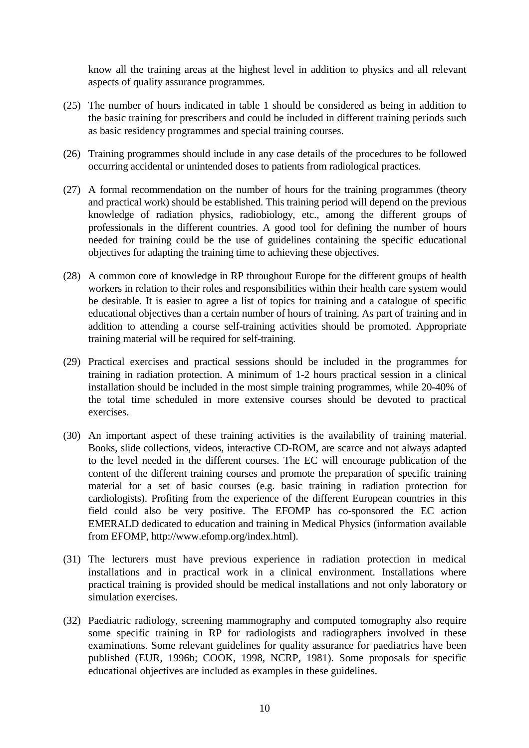know all the training areas at the highest level in addition to physics and all relevant aspects of quality assurance programmes.

- (25) The number of hours indicated in table 1 should be considered as being in addition to the basic training for prescribers and could be included in different training periods such as basic residency programmes and special training courses.
- (26) Training programmes should include in any case details of the procedures to be followed occurring accidental or unintended doses to patients from radiological practices.
- (27) A formal recommendation on the number of hours for the training programmes (theory and practical work) should be established. This training period will depend on the previous knowledge of radiation physics, radiobiology, etc., among the different groups of professionals in the different countries. A good tool for defining the number of hours needed for training could be the use of guidelines containing the specific educational objectives for adapting the training time to achieving these objectives.
- (28) A common core of knowledge in RP throughout Europe for the different groups of health workers in relation to their roles and responsibilities within their health care system would be desirable. It is easier to agree a list of topics for training and a catalogue of specific educational objectives than a certain number of hours of training. As part of training and in addition to attending a course self-training activities should be promoted. Appropriate training material will be required for self-training.
- (29) Practical exercises and practical sessions should be included in the programmes for training in radiation protection. A minimum of 1-2 hours practical session in a clinical installation should be included in the most simple training programmes, while 20-40% of the total time scheduled in more extensive courses should be devoted to practical exercises.
- (30) An important aspect of these training activities is the availability of training material. Books, slide collections, videos, interactive CD-ROM, are scarce and not always adapted to the level needed in the different courses. The EC will encourage publication of the content of the different training courses and promote the preparation of specific training material for a set of basic courses (e.g. basic training in radiation protection for cardiologists). Profiting from the experience of the different European countries in this field could also be very positive. The EFOMP has co-sponsored the EC action EMERALD dedicated to education and training in Medical Physics (information available from EFOMP, http://www.efomp.org/index.html).
- (31) The lecturers must have previous experience in radiation protection in medical installations and in practical work in a clinical environment. Installations where practical training is provided should be medical installations and not only laboratory or simulation exercises.
- (32) Paediatric radiology, screening mammography and computed tomography also require some specific training in RP for radiologists and radiographers involved in these examinations. Some relevant guidelines for quality assurance for paediatrics have been published (EUR, 1996b; COOK, 1998, NCRP, 1981). Some proposals for specific educational objectives are included as examples in these guidelines.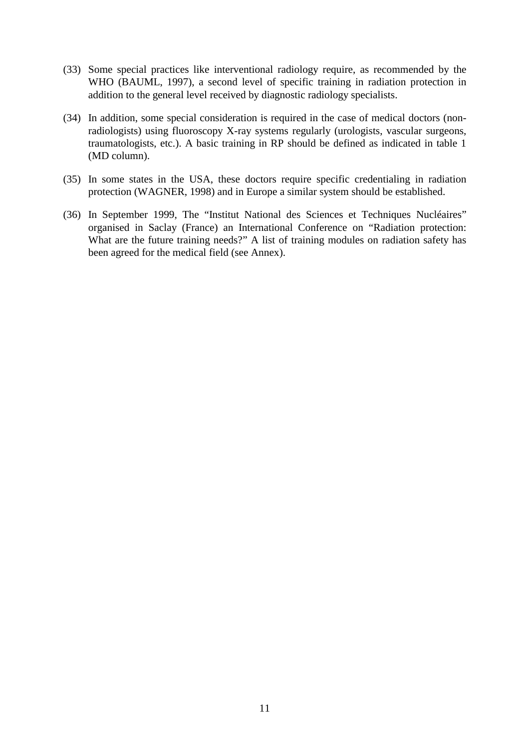- (33) Some special practices like interventional radiology require, as recommended by the WHO (BAUML, 1997), a second level of specific training in radiation protection in addition to the general level received by diagnostic radiology specialists.
- (34) In addition, some special consideration is required in the case of medical doctors (nonradiologists) using fluoroscopy X-ray systems regularly (urologists, vascular surgeons, traumatologists, etc.). A basic training in RP should be defined as indicated in table 1 (MD column).
- (35) In some states in the USA, these doctors require specific credentialing in radiation protection (WAGNER, 1998) and in Europe a similar system should be established.
- (36) In September 1999, The "Institut National des Sciences et Techniques Nucléaires" organised in Saclay (France) an International Conference on "Radiation protection: What are the future training needs?" A list of training modules on radiation safety has been agreed for the medical field (see Annex).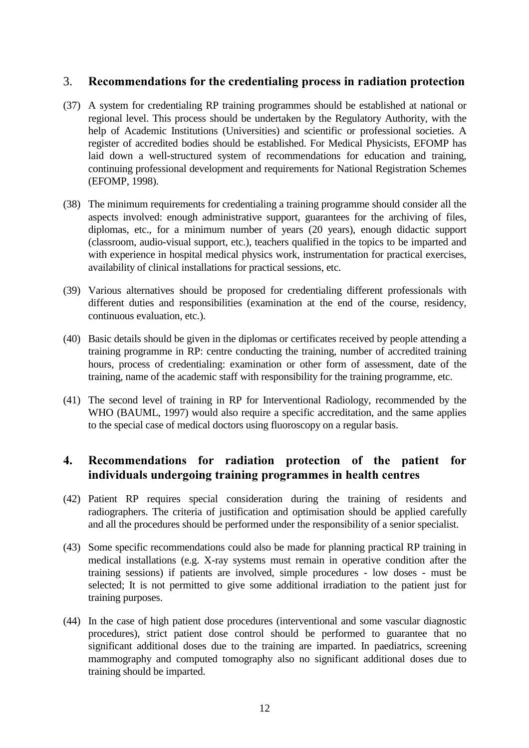### 3. Recommendations for the credentialing process in radiation protection

- (37) A system for credentialing RP training programmes should be established at national or regional level. This process should be undertaken by the Regulatory Authority, with the help of Academic Institutions (Universities) and scientific or professional societies. A register of accredited bodies should be established. For Medical Physicists, EFOMP has laid down a well-structured system of recommendations for education and training, continuing professional development and requirements for National Registration Schemes (EFOMP, 1998).
- (38) The minimum requirements for credentialing a training programme should consider all the aspects involved: enough administrative support, guarantees for the archiving of files, diplomas, etc., for a minimum number of years (20 years), enough didactic support (classroom, audio-visual support, etc.), teachers qualified in the topics to be imparted and with experience in hospital medical physics work, instrumentation for practical exercises, availability of clinical installations for practical sessions, etc.
- (39) Various alternatives should be proposed for credentialing different professionals with different duties and responsibilities (examination at the end of the course, residency, continuous evaluation, etc.).
- (40) Basic details should be given in the diplomas or certificates received by people attending a training programme in RP: centre conducting the training, number of accredited training hours, process of credentialing: examination or other form of assessment, date of the training, name of the academic staff with responsibility for the training programme, etc.
- (41) The second level of training in RP for Interventional Radiology, recommended by the WHO (BAUML, 1997) would also require a specific accreditation, and the same applies to the special case of medical doctors using fluoroscopy on a regular basis.

## 4. Recommendations for radiation protection of the patient for individuals undergoing training programmes in health centres

- (42) Patient RP requires special consideration during the training of residents and radiographers. The criteria of justification and optimisation should be applied carefully and all the procedures should be performed under the responsibility of a senior specialist.
- (43) Some specific recommendations could also be made for planning practical RP training in medical installations (e.g. X-ray systems must remain in operative condition after the training sessions) if patients are involved, simple procedures - low doses - must be selected; It is not permitted to give some additional irradiation to the patient just for training purposes.
- (44) In the case of high patient dose procedures (interventional and some vascular diagnostic procedures), strict patient dose control should be performed to guarantee that no significant additional doses due to the training are imparted. In paediatrics, screening mammography and computed tomography also no significant additional doses due to training should be imparted.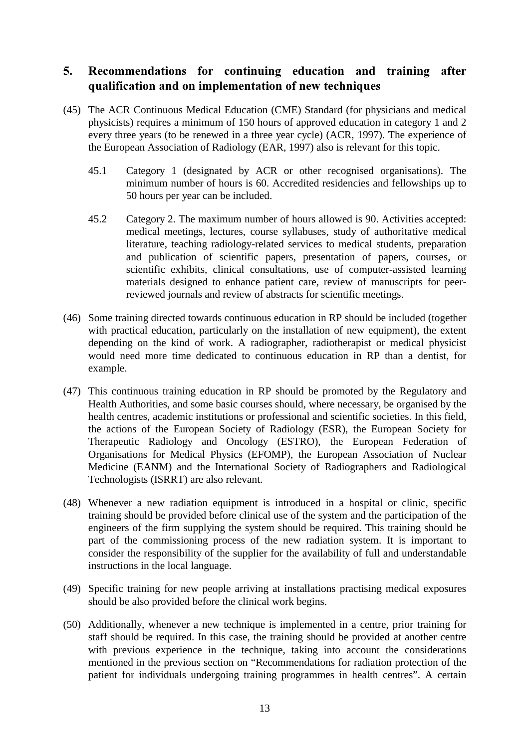## 5. Recommendations for continuing education and training after qualification and on implementation of new techniques

- (45) The ACR Continuous Medical Education (CME) Standard (for physicians and medical physicists) requires a minimum of 150 hours of approved education in category 1 and 2 every three years (to be renewed in a three year cycle) (ACR, 1997). The experience of the European Association of Radiology (EAR, 1997) also is relevant for this topic.
	- 45.1 Category 1 (designated by ACR or other recognised organisations). The minimum number of hours is 60. Accredited residencies and fellowships up to 50 hours per year can be included.
	- 45.2 Category 2. The maximum number of hours allowed is 90. Activities accepted: medical meetings, lectures, course syllabuses, study of authoritative medical literature, teaching radiology-related services to medical students, preparation and publication of scientific papers, presentation of papers, courses, or scientific exhibits, clinical consultations, use of computer-assisted learning materials designed to enhance patient care, review of manuscripts for peerreviewed journals and review of abstracts for scientific meetings.
- (46) Some training directed towards continuous education in RP should be included (together with practical education, particularly on the installation of new equipment), the extent depending on the kind of work. A radiographer, radiotherapist or medical physicist would need more time dedicated to continuous education in RP than a dentist, for example.
- (47) This continuous training education in RP should be promoted by the Regulatory and Health Authorities, and some basic courses should, where necessary, be organised by the health centres, academic institutions or professional and scientific societies. In this field, the actions of the European Society of Radiology (ESR), the European Society for Therapeutic Radiology and Oncology (ESTRO), the European Federation of Organisations for Medical Physics (EFOMP), the European Association of Nuclear Medicine (EANM) and the International Society of Radiographers and Radiological Technologists (ISRRT) are also relevant.
- (48) Whenever a new radiation equipment is introduced in a hospital or clinic, specific training should be provided before clinical use of the system and the participation of the engineers of the firm supplying the system should be required. This training should be part of the commissioning process of the new radiation system. It is important to consider the responsibility of the supplier for the availability of full and understandable instructions in the local language.
- (49) Specific training for new people arriving at installations practising medical exposures should be also provided before the clinical work begins.
- (50) Additionally, whenever a new technique is implemented in a centre, prior training for staff should be required. In this case, the training should be provided at another centre with previous experience in the technique, taking into account the considerations mentioned in the previous section on "Recommendations for radiation protection of the patient for individuals undergoing training programmes in health centres". A certain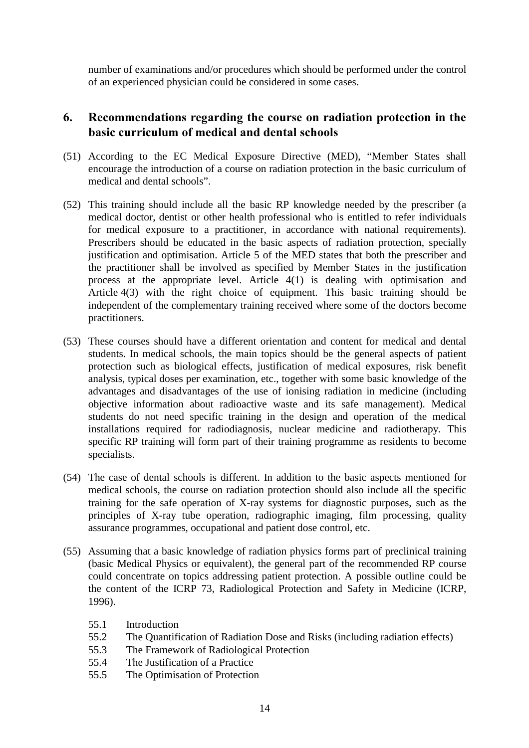number of examinations and/or procedures which should be performed under the control of an experienced physician could be considered in some cases.

## 6. Recommendations regarding the course on radiation protection in the basic curriculum of medical and dental schools

- (51) According to the EC Medical Exposure Directive (MED), "Member States shall encourage the introduction of a course on radiation protection in the basic curriculum of medical and dental schools".
- (52) This training should include all the basic RP knowledge needed by the prescriber (a medical doctor, dentist or other health professional who is entitled to refer individuals for medical exposure to a practitioner, in accordance with national requirements). Prescribers should be educated in the basic aspects of radiation protection, specially justification and optimisation. Article 5 of the MED states that both the prescriber and the practitioner shall be involved as specified by Member States in the justification process at the appropriate level. Article 4(1) is dealing with optimisation and Article 4(3) with the right choice of equipment. This basic training should be independent of the complementary training received where some of the doctors become practitioners.
- (53) These courses should have a different orientation and content for medical and dental students. In medical schools, the main topics should be the general aspects of patient protection such as biological effects, justification of medical exposures, risk benefit analysis, typical doses per examination, etc., together with some basic knowledge of the advantages and disadvantages of the use of ionising radiation in medicine (including objective information about radioactive waste and its safe management). Medical students do not need specific training in the design and operation of the medical installations required for radiodiagnosis, nuclear medicine and radiotherapy. This specific RP training will form part of their training programme as residents to become specialists.
- (54) The case of dental schools is different. In addition to the basic aspects mentioned for medical schools, the course on radiation protection should also include all the specific training for the safe operation of X-ray systems for diagnostic purposes, such as the principles of X-ray tube operation, radiographic imaging, film processing, quality assurance programmes, occupational and patient dose control, etc.
- (55) Assuming that a basic knowledge of radiation physics forms part of preclinical training (basic Medical Physics or equivalent), the general part of the recommended RP course could concentrate on topics addressing patient protection. A possible outline could be the content of the ICRP 73, Radiological Protection and Safety in Medicine (ICRP, 1996).
	- 55.1 Introduction
	- 55.2 The Quantification of Radiation Dose and Risks (including radiation effects)
	- 55.3 The Framework of Radiological Protection
	- 55.4 The Justification of a Practice
	- 55.5 The Optimisation of Protection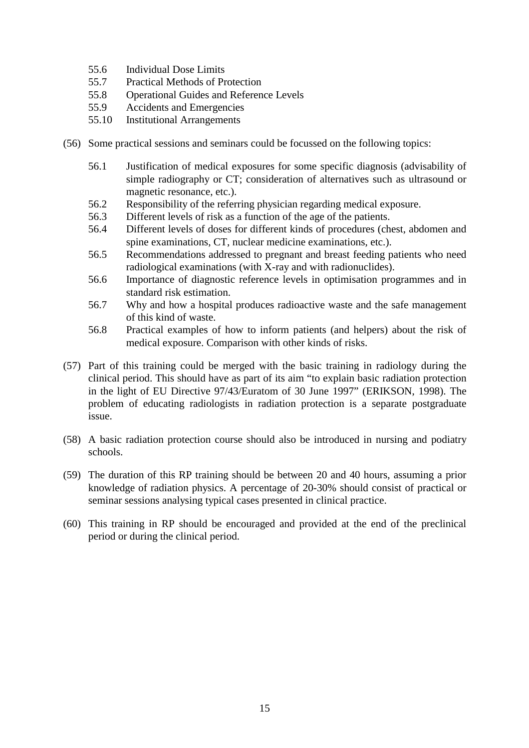- 55.6 Individual Dose Limits
- 55.7 Practical Methods of Protection
- 55.8 Operational Guides and Reference Levels
- 55.9 Accidents and Emergencies
- 55.10 Institutional Arrangements
- (56) Some practical sessions and seminars could be focussed on the following topics:
	- 56.1 Justification of medical exposures for some specific diagnosis (advisability of simple radiography or CT; consideration of alternatives such as ultrasound or magnetic resonance, etc.).
	- 56.2 Responsibility of the referring physician regarding medical exposure.
	- 56.3 Different levels of risk as a function of the age of the patients.
	- 56.4 Different levels of doses for different kinds of procedures (chest, abdomen and spine examinations, CT, nuclear medicine examinations, etc.).
	- 56.5 Recommendations addressed to pregnant and breast feeding patients who need radiological examinations (with X-ray and with radionuclides).
	- 56.6 Importance of diagnostic reference levels in optimisation programmes and in standard risk estimation.
	- 56.7 Why and how a hospital produces radioactive waste and the safe management of this kind of waste.
	- 56.8 Practical examples of how to inform patients (and helpers) about the risk of medical exposure. Comparison with other kinds of risks.
- (57) Part of this training could be merged with the basic training in radiology during the clinical period. This should have as part of its aim "to explain basic radiation protection in the light of EU Directive 97/43/Euratom of 30 June 1997" (ERIKSON, 1998). The problem of educating radiologists in radiation protection is a separate postgraduate issue.
- (58) A basic radiation protection course should also be introduced in nursing and podiatry schools.
- (59) The duration of this RP training should be between 20 and 40 hours, assuming a prior knowledge of radiation physics. A percentage of 20-30% should consist of practical or seminar sessions analysing typical cases presented in clinical practice.
- (60) This training in RP should be encouraged and provided at the end of the preclinical period or during the clinical period.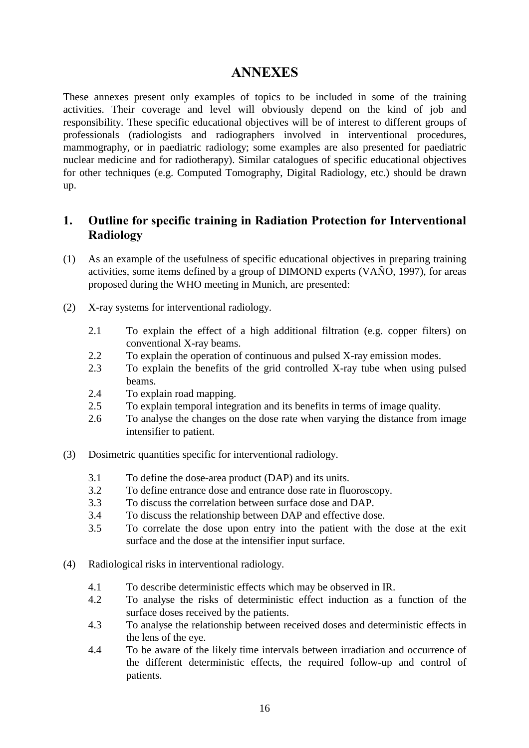## **ANNEXES**

These annexes present only examples of topics to be included in some of the training activities. Their coverage and level will obviously depend on the kind of job and responsibility. These specific educational objectives will be of interest to different groups of professionals (radiologists and radiographers involved in interventional procedures, mammography, or in paediatric radiology; some examples are also presented for paediatric nuclear medicine and for radiotherapy). Similar catalogues of specific educational objectives for other techniques (e.g. Computed Tomography, Digital Radiology, etc.) should be drawn up.

## 1. Outline for specific training in Radiation Protection for Interventional Radiology

- (1) As an example of the usefulness of specific educational objectives in preparing training activities, some items defined by a group of DIMOND experts (VAÑO, 1997), for areas proposed during the WHO meeting in Munich, are presented:
- (2) X-ray systems for interventional radiology.
	- 2.1 To explain the effect of a high additional filtration (e.g. copper filters) on conventional X-ray beams.
	- 2.2 To explain the operation of continuous and pulsed X-ray emission modes.
	- 2.3 To explain the benefits of the grid controlled X-ray tube when using pulsed beams.
	- 2.4 To explain road mapping.
	- 2.5 To explain temporal integration and its benefits in terms of image quality.
	- 2.6 To analyse the changes on the dose rate when varying the distance from image intensifier to patient.
- (3) Dosimetric quantities specific for interventional radiology.
	- 3.1 To define the dose-area product (DAP) and its units.
	- 3.2 To define entrance dose and entrance dose rate in fluoroscopy.
	- 3.3 To discuss the correlation between surface dose and DAP.
	- 3.4 To discuss the relationship between DAP and effective dose.
	- 3.5 To correlate the dose upon entry into the patient with the dose at the exit surface and the dose at the intensifier input surface.
- (4) Radiological risks in interventional radiology.
	- 4.1 To describe deterministic effects which may be observed in IR.
	- 4.2 To analyse the risks of deterministic effect induction as a function of the surface doses received by the patients.
	- 4.3 To analyse the relationship between received doses and deterministic effects in the lens of the eye.
	- 4.4 To be aware of the likely time intervals between irradiation and occurrence of the different deterministic effects, the required follow-up and control of patients.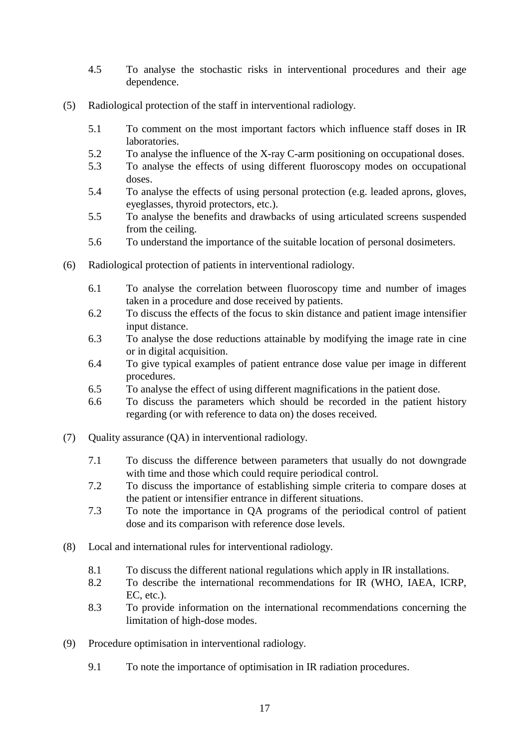- 4.5 To analyse the stochastic risks in interventional procedures and their age dependence.
- (5) Radiological protection of the staff in interventional radiology.
	- 5.1 To comment on the most important factors which influence staff doses in IR laboratories.
	- 5.2 To analyse the influence of the X-ray C-arm positioning on occupational doses.
	- 5.3 To analyse the effects of using different fluoroscopy modes on occupational doses.
	- 5.4 To analyse the effects of using personal protection (e.g. leaded aprons, gloves, eyeglasses, thyroid protectors, etc.).
	- 5.5 To analyse the benefits and drawbacks of using articulated screens suspended from the ceiling.
	- 5.6 To understand the importance of the suitable location of personal dosimeters.
- (6) Radiological protection of patients in interventional radiology.
	- 6.1 To analyse the correlation between fluoroscopy time and number of images taken in a procedure and dose received by patients.
	- 6.2 To discuss the effects of the focus to skin distance and patient image intensifier input distance.
	- 6.3 To analyse the dose reductions attainable by modifying the image rate in cine or in digital acquisition.
	- 6.4 To give typical examples of patient entrance dose value per image in different procedures.
	- 6.5 To analyse the effect of using different magnifications in the patient dose.
	- 6.6 To discuss the parameters which should be recorded in the patient history regarding (or with reference to data on) the doses received.
- (7) Quality assurance (QA) in interventional radiology.
	- 7.1 To discuss the difference between parameters that usually do not downgrade with time and those which could require periodical control.
	- 7.2 To discuss the importance of establishing simple criteria to compare doses at the patient or intensifier entrance in different situations.
	- 7.3 To note the importance in QA programs of the periodical control of patient dose and its comparison with reference dose levels.
- (8) Local and international rules for interventional radiology.
	- 8.1 To discuss the different national regulations which apply in IR installations.
	- 8.2 To describe the international recommendations for IR (WHO, IAEA, ICRP, EC, etc.).
	- 8.3 To provide information on the international recommendations concerning the limitation of high-dose modes.
- (9) Procedure optimisation in interventional radiology.
	- 9.1 To note the importance of optimisation in IR radiation procedures.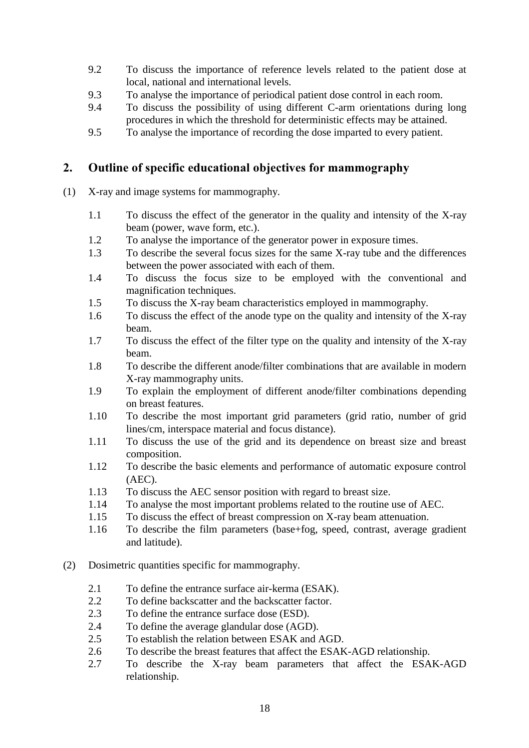- 9.2 To discuss the importance of reference levels related to the patient dose at local, national and international levels.
- 9.3 To analyse the importance of periodical patient dose control in each room.
- 9.4 To discuss the possibility of using different C-arm orientations during long procedures in which the threshold for deterministic effects may be attained.
- 9.5 To analyse the importance of recording the dose imparted to every patient.

## 2. Outline of specific educational objectives for mammography

- (1) X-ray and image systems for mammography.
	- 1.1 To discuss the effect of the generator in the quality and intensity of the X-ray beam (power, wave form, etc.).
	- 1.2 To analyse the importance of the generator power in exposure times.
	- 1.3 To describe the several focus sizes for the same X-ray tube and the differences between the power associated with each of them.
	- 1.4 To discuss the focus size to be employed with the conventional and magnification techniques.
	- 1.5 To discuss the X-ray beam characteristics employed in mammography.
	- 1.6 To discuss the effect of the anode type on the quality and intensity of the X-ray beam.
	- 1.7 To discuss the effect of the filter type on the quality and intensity of the X-ray beam.
	- 1.8 To describe the different anode/filter combinations that are available in modern X-ray mammography units.
	- 1.9 To explain the employment of different anode/filter combinations depending on breast features.
	- 1.10 To describe the most important grid parameters (grid ratio, number of grid lines/cm, interspace material and focus distance).
	- 1.11 To discuss the use of the grid and its dependence on breast size and breast composition.
	- 1.12 To describe the basic elements and performance of automatic exposure control (AEC).
	- 1.13 To discuss the AEC sensor position with regard to breast size.
	- 1.14 To analyse the most important problems related to the routine use of AEC.
	- 1.15 To discuss the effect of breast compression on X-ray beam attenuation.
	- 1.16 To describe the film parameters (base+fog, speed, contrast, average gradient and latitude).
- (2) Dosimetric quantities specific for mammography.
	- 2.1 To define the entrance surface air-kerma (ESAK).
	- 2.2 To define backscatter and the backscatter factor.
	- 2.3 To define the entrance surface dose (ESD).
	- 2.4 To define the average glandular dose (AGD).
	- 2.5 To establish the relation between ESAK and AGD.
	- 2.6 To describe the breast features that affect the ESAK-AGD relationship.
	- 2.7 To describe the X-ray beam parameters that affect the ESAK-AGD relationship.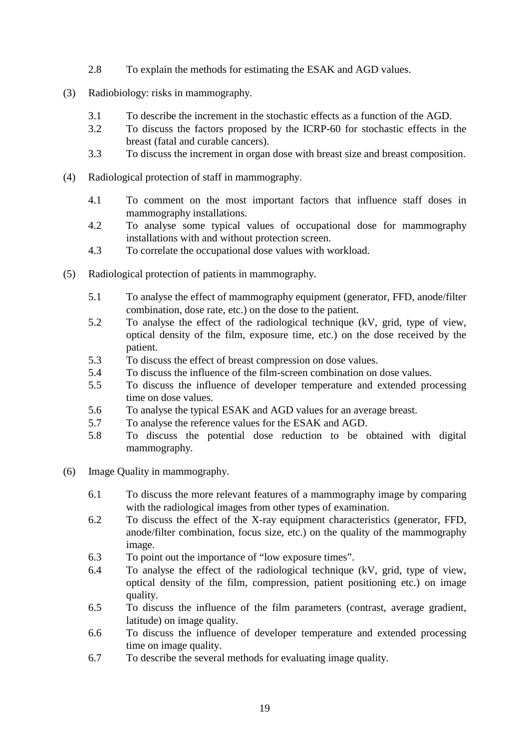- 2.8 To explain the methods for estimating the ESAK and AGD values.
- (3) Radiobiology: risks in mammography.
	- 3.1 To describe the increment in the stochastic effects as a function of the AGD.
	- 3.2 To discuss the factors proposed by the ICRP-60 for stochastic effects in the breast (fatal and curable cancers).
	- 3.3 To discuss the increment in organ dose with breast size and breast composition.
- (4) Radiological protection of staff in mammography.
	- 4.1 To comment on the most important factors that influence staff doses in mammography installations.
	- 4.2 To analyse some typical values of occupational dose for mammography installations with and without protection screen.
	- 4.3 To correlate the occupational dose values with workload.
- (5) Radiological protection of patients in mammography.
	- 5.1 To analyse the effect of mammography equipment (generator, FFD, anode/filter combination, dose rate, etc.) on the dose to the patient.
	- 5.2 To analyse the effect of the radiological technique (kV, grid, type of view, optical density of the film, exposure time, etc.) on the dose received by the patient.
	- 5.3 To discuss the effect of breast compression on dose values.
	- 5.4 To discuss the influence of the film-screen combination on dose values.
	- 5.5 To discuss the influence of developer temperature and extended processing time on dose values.
	- 5.6 To analyse the typical ESAK and AGD values for an average breast.
	- 5.7 To analyse the reference values for the ESAK and AGD.
	- 5.8 To discuss the potential dose reduction to be obtained with digital mammography.
- (6) Image Quality in mammography.
	- 6.1 To discuss the more relevant features of a mammography image by comparing with the radiological images from other types of examination.
	- 6.2 To discuss the effect of the X-ray equipment characteristics (generator, FFD, anode/filter combination, focus size, etc.) on the quality of the mammography image.
	- 6.3 To point out the importance of "low exposure times".
	- 6.4 To analyse the effect of the radiological technique (kV, grid, type of view, optical density of the film, compression, patient positioning etc.) on image quality.
	- 6.5 To discuss the influence of the film parameters (contrast, average gradient, latitude) on image quality.
	- 6.6 To discuss the influence of developer temperature and extended processing time on image quality.
	- 6.7 To describe the several methods for evaluating image quality.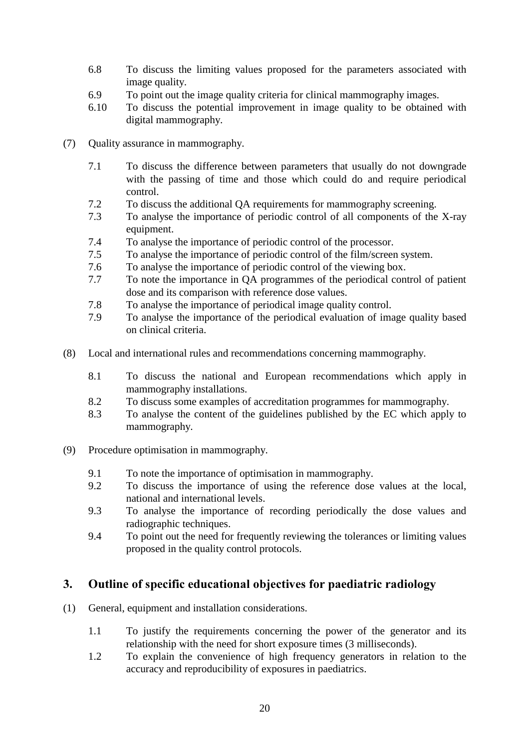- 6.8 To discuss the limiting values proposed for the parameters associated with image quality.
- 6.9 To point out the image quality criteria for clinical mammography images.
- 6.10 To discuss the potential improvement in image quality to be obtained with digital mammography.
- (7) Quality assurance in mammography.
	- 7.1 To discuss the difference between parameters that usually do not downgrade with the passing of time and those which could do and require periodical control.
	- 7.2 To discuss the additional QA requirements for mammography screening.
	- 7.3 To analyse the importance of periodic control of all components of the X-ray equipment.
	- 7.4 To analyse the importance of periodic control of the processor.<br>7.5 To analyse the importance of periodic control of the film/screen
	- To analyse the importance of periodic control of the film/screen system.
	- 7.6 To analyse the importance of periodic control of the viewing box.
	- 7.7 To note the importance in QA programmes of the periodical control of patient dose and its comparison with reference dose values.
	- 7.8 To analyse the importance of periodical image quality control.
	- 7.9 To analyse the importance of the periodical evaluation of image quality based on clinical criteria.
- (8) Local and international rules and recommendations concerning mammography.
	- 8.1 To discuss the national and European recommendations which apply in mammography installations.
	- 8.2 To discuss some examples of accreditation programmes for mammography.
	- 8.3 To analyse the content of the guidelines published by the EC which apply to mammography.
- (9) Procedure optimisation in mammography.
	- 9.1 To note the importance of optimisation in mammography.
	- 9.2 To discuss the importance of using the reference dose values at the local, national and international levels.
	- 9.3 To analyse the importance of recording periodically the dose values and radiographic techniques.
	- 9.4 To point out the need for frequently reviewing the tolerances or limiting values proposed in the quality control protocols.

## 3. Outline of specific educational objectives for paediatric radiology

- (1) General, equipment and installation considerations.
	- 1.1 To justify the requirements concerning the power of the generator and its relationship with the need for short exposure times (3 milliseconds).
	- 1.2 To explain the convenience of high frequency generators in relation to the accuracy and reproducibility of exposures in paediatrics.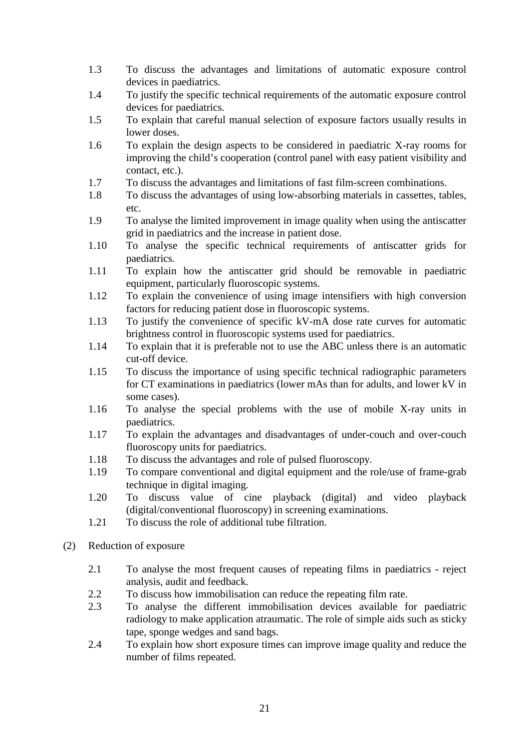- 1.3 To discuss the advantages and limitations of automatic exposure control devices in paediatrics.
- 1.4 To justify the specific technical requirements of the automatic exposure control devices for paediatrics.
- 1.5 To explain that careful manual selection of exposure factors usually results in lower doses.
- 1.6 To explain the design aspects to be considered in paediatric X-ray rooms for improving the child's cooperation (control panel with easy patient visibility and contact, etc.).
- 1.7 To discuss the advantages and limitations of fast film-screen combinations.
- 1.8 To discuss the advantages of using low-absorbing materials in cassettes, tables, etc.
- 1.9 To analyse the limited improvement in image quality when using the antiscatter grid in paediatrics and the increase in patient dose.
- 1.10 To analyse the specific technical requirements of antiscatter grids for paediatrics.
- 1.11 To explain how the antiscatter grid should be removable in paediatric equipment, particularly fluoroscopic systems.
- 1.12 To explain the convenience of using image intensifiers with high conversion factors for reducing patient dose in fluoroscopic systems.
- 1.13 To justify the convenience of specific kV-mA dose rate curves for automatic brightness control in fluoroscopic systems used for paediatrics.
- 1.14 To explain that it is preferable not to use the ABC unless there is an automatic cut-off device.
- 1.15 To discuss the importance of using specific technical radiographic parameters for CT examinations in paediatrics (lower mAs than for adults, and lower kV in some cases).
- 1.16 To analyse the special problems with the use of mobile X-ray units in paediatrics.
- 1.17 To explain the advantages and disadvantages of under-couch and over-couch fluoroscopy units for paediatrics.
- 1.18 To discuss the advantages and role of pulsed fluoroscopy.
- 1.19 To compare conventional and digital equipment and the role/use of frame-grab technique in digital imaging.
- 1.20 To discuss value of cine playback (digital) and video playback (digital/conventional fluoroscopy) in screening examinations.
- 1.21 To discuss the role of additional tube filtration.
- (2) Reduction of exposure
	- 2.1 To analyse the most frequent causes of repeating films in paediatrics reject analysis, audit and feedback.
	- 2.2 To discuss how immobilisation can reduce the repeating film rate.
	- 2.3 To analyse the different immobilisation devices available for paediatric radiology to make application atraumatic. The role of simple aids such as sticky tape, sponge wedges and sand bags.
	- 2.4 To explain how short exposure times can improve image quality and reduce the number of films repeated.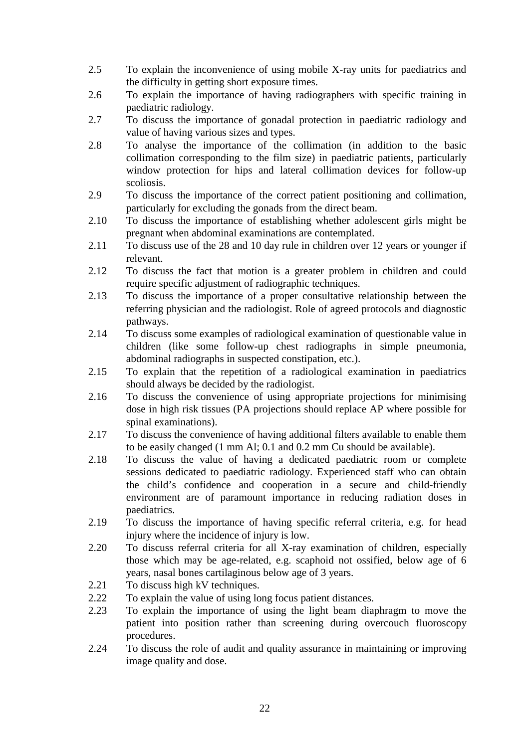- 2.5 To explain the inconvenience of using mobile X-ray units for paediatrics and the difficulty in getting short exposure times.
- 2.6 To explain the importance of having radiographers with specific training in paediatric radiology.
- 2.7 To discuss the importance of gonadal protection in paediatric radiology and value of having various sizes and types.
- 2.8 To analyse the importance of the collimation (in addition to the basic collimation corresponding to the film size) in paediatric patients, particularly window protection for hips and lateral collimation devices for follow-up scoliosis.
- 2.9 To discuss the importance of the correct patient positioning and collimation, particularly for excluding the gonads from the direct beam.
- 2.10 To discuss the importance of establishing whether adolescent girls might be pregnant when abdominal examinations are contemplated.
- 2.11 To discuss use of the 28 and 10 day rule in children over 12 years or younger if relevant.
- 2.12 To discuss the fact that motion is a greater problem in children and could require specific adjustment of radiographic techniques.
- 2.13 To discuss the importance of a proper consultative relationship between the referring physician and the radiologist. Role of agreed protocols and diagnostic pathways.
- 2.14 To discuss some examples of radiological examination of questionable value in children (like some follow-up chest radiographs in simple pneumonia, abdominal radiographs in suspected constipation, etc.).
- 2.15 To explain that the repetition of a radiological examination in paediatrics should always be decided by the radiologist.
- 2.16 To discuss the convenience of using appropriate projections for minimising dose in high risk tissues (PA projections should replace AP where possible for spinal examinations).
- 2.17 To discuss the convenience of having additional filters available to enable them to be easily changed (1 mm Al; 0.1 and 0.2 mm Cu should be available).
- 2.18 To discuss the value of having a dedicated paediatric room or complete sessions dedicated to paediatric radiology. Experienced staff who can obtain the child's confidence and cooperation in a secure and child-friendly environment are of paramount importance in reducing radiation doses in paediatrics.
- 2.19 To discuss the importance of having specific referral criteria, e.g. for head injury where the incidence of injury is low.
- 2.20 To discuss referral criteria for all X-ray examination of children, especially those which may be age-related, e.g. scaphoid not ossified, below age of 6 years, nasal bones cartilaginous below age of 3 years.
- 2.21 To discuss high kV techniques.
- 2.22 To explain the value of using long focus patient distances.
- 2.23 To explain the importance of using the light beam diaphragm to move the patient into position rather than screening during overcouch fluoroscopy procedures.
- 2.24 To discuss the role of audit and quality assurance in maintaining or improving image quality and dose.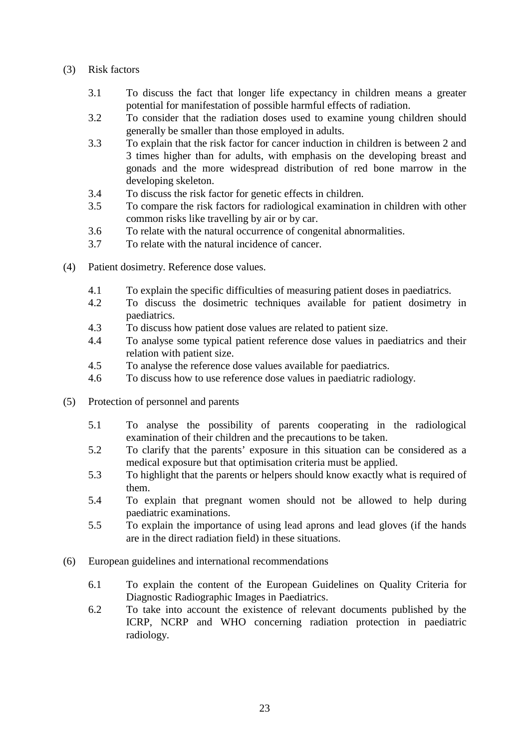- (3) Risk factors
	- 3.1 To discuss the fact that longer life expectancy in children means a greater potential for manifestation of possible harmful effects of radiation.
	- 3.2 To consider that the radiation doses used to examine young children should generally be smaller than those employed in adults.
	- 3.3 To explain that the risk factor for cancer induction in children is between 2 and 3 times higher than for adults, with emphasis on the developing breast and gonads and the more widespread distribution of red bone marrow in the developing skeleton.
	- 3.4 To discuss the risk factor for genetic effects in children.
	- 3.5 To compare the risk factors for radiological examination in children with other common risks like travelling by air or by car.
	- 3.6 To relate with the natural occurrence of congenital abnormalities.
	- 3.7 To relate with the natural incidence of cancer.
- (4) Patient dosimetry. Reference dose values.
	- 4.1 To explain the specific difficulties of measuring patient doses in paediatrics.
	- 4.2 To discuss the dosimetric techniques available for patient dosimetry in paediatrics.
	- 4.3 To discuss how patient dose values are related to patient size.
	- 4.4 To analyse some typical patient reference dose values in paediatrics and their relation with patient size.
	- 4.5 To analyse the reference dose values available for paediatrics.
	- 4.6 To discuss how to use reference dose values in paediatric radiology.
- (5) Protection of personnel and parents
	- 5.1 To analyse the possibility of parents cooperating in the radiological examination of their children and the precautions to be taken.
	- 5.2 To clarify that the parents' exposure in this situation can be considered as a medical exposure but that optimisation criteria must be applied.
	- 5.3 To highlight that the parents or helpers should know exactly what is required of them.
	- 5.4 To explain that pregnant women should not be allowed to help during paediatric examinations.
	- 5.5 To explain the importance of using lead aprons and lead gloves (if the hands are in the direct radiation field) in these situations.
- (6) European guidelines and international recommendations
	- 6.1 To explain the content of the European Guidelines on Quality Criteria for Diagnostic Radiographic Images in Paediatrics.
	- 6.2 To take into account the existence of relevant documents published by the ICRP, NCRP and WHO concerning radiation protection in paediatric radiology.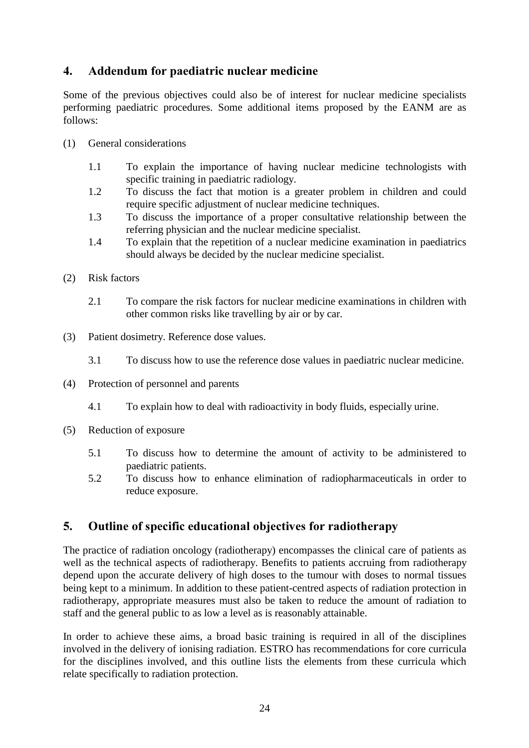## 4. Addendum for paediatric nuclear medicine

Some of the previous objectives could also be of interest for nuclear medicine specialists performing paediatric procedures. Some additional items proposed by the EANM are as follows:

- (1) General considerations
	- 1.1 To explain the importance of having nuclear medicine technologists with specific training in paediatric radiology.
	- 1.2 To discuss the fact that motion is a greater problem in children and could require specific adjustment of nuclear medicine techniques.
	- 1.3 To discuss the importance of a proper consultative relationship between the referring physician and the nuclear medicine specialist.
	- 1.4 To explain that the repetition of a nuclear medicine examination in paediatrics should always be decided by the nuclear medicine specialist.
- (2) Risk factors
	- 2.1 To compare the risk factors for nuclear medicine examinations in children with other common risks like travelling by air or by car.
- (3) Patient dosimetry. Reference dose values.
	- 3.1 To discuss how to use the reference dose values in paediatric nuclear medicine.
- (4) Protection of personnel and parents
	- 4.1 To explain how to deal with radioactivity in body fluids, especially urine.
- (5) Reduction of exposure
	- 5.1 To discuss how to determine the amount of activity to be administered to paediatric patients.
	- 5.2 To discuss how to enhance elimination of radiopharmaceuticals in order to reduce exposure.

## 5. Outline of specific educational objectives for radiotherapy

The practice of radiation oncology (radiotherapy) encompasses the clinical care of patients as well as the technical aspects of radiotherapy. Benefits to patients accruing from radiotherapy depend upon the accurate delivery of high doses to the tumour with doses to normal tissues being kept to a minimum. In addition to these patient-centred aspects of radiation protection in radiotherapy, appropriate measures must also be taken to reduce the amount of radiation to staff and the general public to as low a level as is reasonably attainable.

In order to achieve these aims, a broad basic training is required in all of the disciplines involved in the delivery of ionising radiation. ESTRO has recommendations for core curricula for the disciplines involved, and this outline lists the elements from these curricula which relate specifically to radiation protection.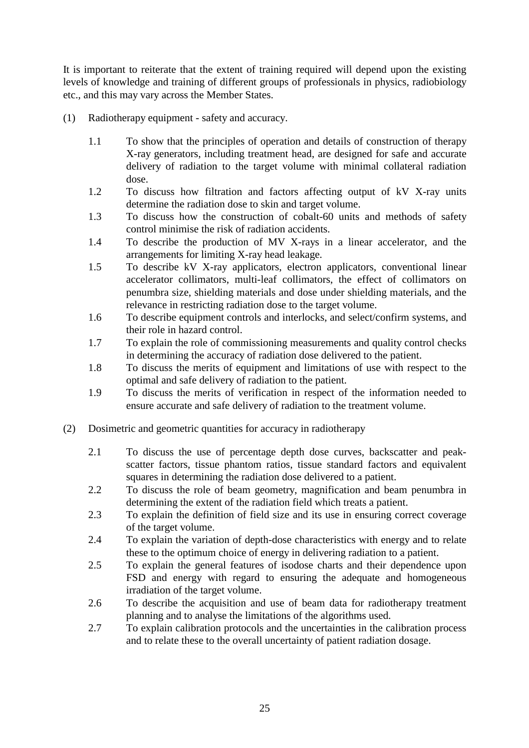It is important to reiterate that the extent of training required will depend upon the existing levels of knowledge and training of different groups of professionals in physics, radiobiology etc., and this may vary across the Member States.

- (1) Radiotherapy equipment safety and accuracy.
	- 1.1 To show that the principles of operation and details of construction of therapy X-ray generators, including treatment head, are designed for safe and accurate delivery of radiation to the target volume with minimal collateral radiation dose.
	- 1.2 To discuss how filtration and factors affecting output of kV X-ray units determine the radiation dose to skin and target volume.
	- 1.3 To discuss how the construction of cobalt-60 units and methods of safety control minimise the risk of radiation accidents.
	- 1.4 To describe the production of MV X-rays in a linear accelerator, and the arrangements for limiting X-ray head leakage.
	- 1.5 To describe kV X-ray applicators, electron applicators, conventional linear accelerator collimators, multi-leaf collimators, the effect of collimators on penumbra size, shielding materials and dose under shielding materials, and the relevance in restricting radiation dose to the target volume.
	- 1.6 To describe equipment controls and interlocks, and select/confirm systems, and their role in hazard control.
	- 1.7 To explain the role of commissioning measurements and quality control checks in determining the accuracy of radiation dose delivered to the patient.
	- 1.8 To discuss the merits of equipment and limitations of use with respect to the optimal and safe delivery of radiation to the patient.
	- 1.9 To discuss the merits of verification in respect of the information needed to ensure accurate and safe delivery of radiation to the treatment volume.
- (2) Dosimetric and geometric quantities for accuracy in radiotherapy
	- 2.1 To discuss the use of percentage depth dose curves, backscatter and peakscatter factors, tissue phantom ratios, tissue standard factors and equivalent squares in determining the radiation dose delivered to a patient.
	- 2.2 To discuss the role of beam geometry, magnification and beam penumbra in determining the extent of the radiation field which treats a patient.
	- 2.3 To explain the definition of field size and its use in ensuring correct coverage of the target volume.
	- 2.4 To explain the variation of depth-dose characteristics with energy and to relate these to the optimum choice of energy in delivering radiation to a patient.
	- 2.5 To explain the general features of isodose charts and their dependence upon FSD and energy with regard to ensuring the adequate and homogeneous irradiation of the target volume.
	- 2.6 To describe the acquisition and use of beam data for radiotherapy treatment planning and to analyse the limitations of the algorithms used.
	- 2.7 To explain calibration protocols and the uncertainties in the calibration process and to relate these to the overall uncertainty of patient radiation dosage.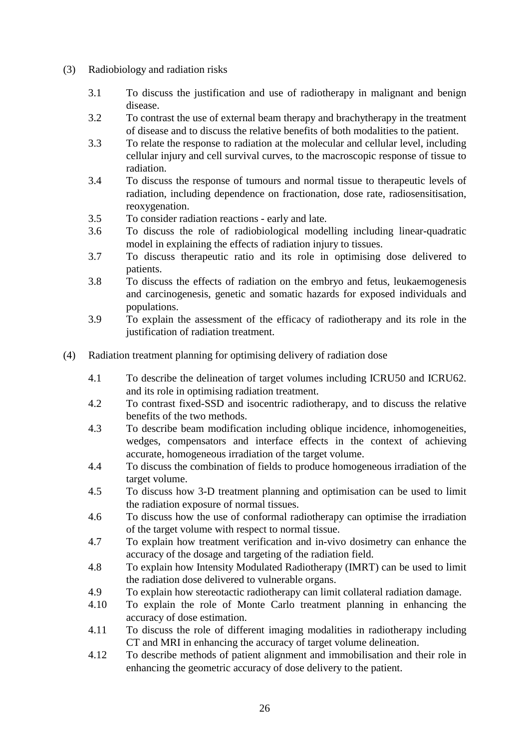- (3) Radiobiology and radiation risks
	- 3.1 To discuss the justification and use of radiotherapy in malignant and benign disease.
	- 3.2 To contrast the use of external beam therapy and brachytherapy in the treatment of disease and to discuss the relative benefits of both modalities to the patient.
	- 3.3 To relate the response to radiation at the molecular and cellular level, including cellular injury and cell survival curves, to the macroscopic response of tissue to radiation.
	- 3.4 To discuss the response of tumours and normal tissue to therapeutic levels of radiation, including dependence on fractionation, dose rate, radiosensitisation, reoxygenation.
	- 3.5 To consider radiation reactions early and late.
	- 3.6 To discuss the role of radiobiological modelling including linear-quadratic model in explaining the effects of radiation injury to tissues.
	- 3.7 To discuss therapeutic ratio and its role in optimising dose delivered to patients.
	- 3.8 To discuss the effects of radiation on the embryo and fetus, leukaemogenesis and carcinogenesis, genetic and somatic hazards for exposed individuals and populations.
	- 3.9 To explain the assessment of the efficacy of radiotherapy and its role in the justification of radiation treatment.
- (4) Radiation treatment planning for optimising delivery of radiation dose
	- 4.1 To describe the delineation of target volumes including ICRU50 and ICRU62. and its role in optimising radiation treatment.
	- 4.2 To contrast fixed-SSD and isocentric radiotherapy, and to discuss the relative benefits of the two methods.
	- 4.3 To describe beam modification including oblique incidence, inhomogeneities, wedges, compensators and interface effects in the context of achieving accurate, homogeneous irradiation of the target volume.
	- 4.4 To discuss the combination of fields to produce homogeneous irradiation of the target volume.
	- 4.5 To discuss how 3-D treatment planning and optimisation can be used to limit the radiation exposure of normal tissues.
	- 4.6 To discuss how the use of conformal radiotherapy can optimise the irradiation of the target volume with respect to normal tissue.
	- 4.7 To explain how treatment verification and in-vivo dosimetry can enhance the accuracy of the dosage and targeting of the radiation field.
	- 4.8 To explain how Intensity Modulated Radiotherapy (IMRT) can be used to limit the radiation dose delivered to vulnerable organs.
	- 4.9 To explain how stereotactic radiotherapy can limit collateral radiation damage.
	- 4.10 To explain the role of Monte Carlo treatment planning in enhancing the accuracy of dose estimation.
	- 4.11 To discuss the role of different imaging modalities in radiotherapy including CT and MRI in enhancing the accuracy of target volume delineation.
	- 4.12 To describe methods of patient alignment and immobilisation and their role in enhancing the geometric accuracy of dose delivery to the patient.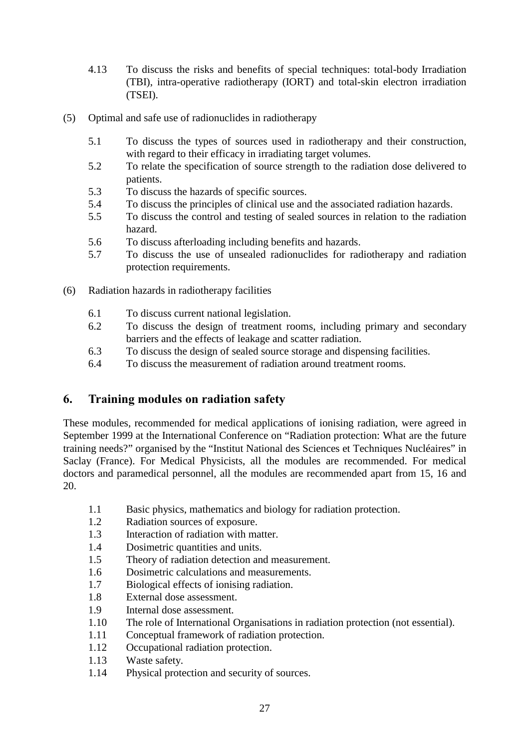- 4.13 To discuss the risks and benefits of special techniques: total-body Irradiation (TBI), intra-operative radiotherapy (IORT) and total-skin electron irradiation (TSEI).
- (5) Optimal and safe use of radionuclides in radiotherapy
	- 5.1 To discuss the types of sources used in radiotherapy and their construction, with regard to their efficacy in irradiating target volumes.
	- 5.2 To relate the specification of source strength to the radiation dose delivered to patients.
	- 5.3 To discuss the hazards of specific sources.
	- 5.4 To discuss the principles of clinical use and the associated radiation hazards.
	- 5.5 To discuss the control and testing of sealed sources in relation to the radiation hazard.
	- 5.6 To discuss afterloading including benefits and hazards.
	- 5.7 To discuss the use of unsealed radionuclides for radiotherapy and radiation protection requirements.
- (6) Radiation hazards in radiotherapy facilities
	- 6.1 To discuss current national legislation.
	- 6.2 To discuss the design of treatment rooms, including primary and secondary barriers and the effects of leakage and scatter radiation.
	- 6.3 To discuss the design of sealed source storage and dispensing facilities.
	- 6.4 To discuss the measurement of radiation around treatment rooms.

## 6. Training modules on radiation safety

These modules, recommended for medical applications of ionising radiation, were agreed in September 1999 at the International Conference on "Radiation protection: What are the future training needs?" organised by the "Institut National des Sciences et Techniques Nucléaires" in Saclay (France). For Medical Physicists, all the modules are recommended. For medical doctors and paramedical personnel, all the modules are recommended apart from 15, 16 and 20.

- 1.1 Basic physics, mathematics and biology for radiation protection.
- 1.2 Radiation sources of exposure.
- 1.3 Interaction of radiation with matter.
- 1.4 Dosimetric quantities and units.
- 1.5 Theory of radiation detection and measurement.
- 1.6 Dosimetric calculations and measurements.
- 1.7 Biological effects of ionising radiation.
- 1.8 External dose assessment.
- 1.9 Internal dose assessment.
- 1.10 The role of International Organisations in radiation protection (not essential).
- 1.11 Conceptual framework of radiation protection.
- 1.12 Occupational radiation protection.
- 1.13 Waste safety.
- 1.14 Physical protection and security of sources.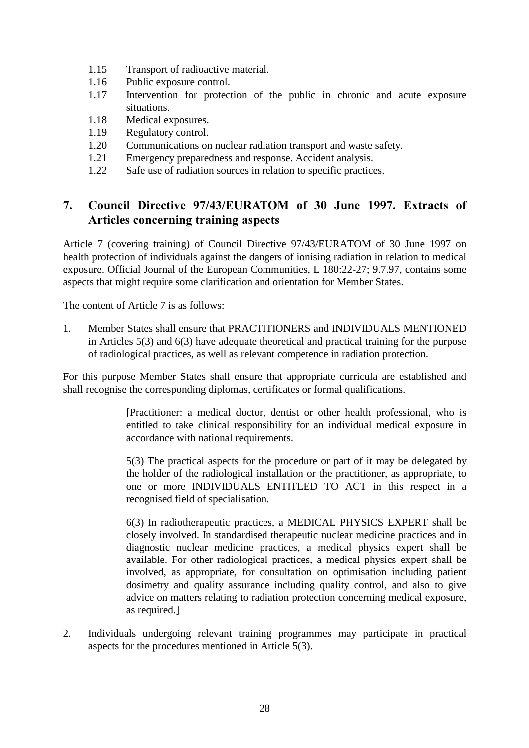- 1.15 Transport of radioactive material.
- 1.16 Public exposure control.
- 1.17 Intervention for protection of the public in chronic and acute exposure situations.
- 1.18 Medical exposures.
- 1.19 Regulatory control.
- 1.20 Communications on nuclear radiation transport and waste safety.
- 1.21 Emergency preparedness and response. Accident analysis.
- 1.22 Safe use of radiation sources in relation to specific practices.

## 7. Council Directive 97/43/EURATOM of 30 June 1997. Extracts of Articles concerning training aspects

Article 7 (covering training) of Council Directive 97/43/EURATOM of 30 June 1997 on health protection of individuals against the dangers of ionising radiation in relation to medical exposure. Official Journal of the European Communities, L 180:22-27; 9.7.97, contains some aspects that might require some clarification and orientation for Member States.

The content of Article 7 is as follows:

1. Member States shall ensure that PRACTITIONERS and INDIVIDUALS MENTIONED in Articles 5(3) and 6(3) have adequate theoretical and practical training for the purpose of radiological practices, as well as relevant competence in radiation protection.

For this purpose Member States shall ensure that appropriate curricula are established and shall recognise the corresponding diplomas, certificates or formal qualifications.

> [Practitioner: a medical doctor, dentist or other health professional, who is entitled to take clinical responsibility for an individual medical exposure in accordance with national requirements.

> 5(3) The practical aspects for the procedure or part of it may be delegated by the holder of the radiological installation or the practitioner, as appropriate, to one or more INDIVIDUALS ENTITLED TO ACT in this respect in a recognised field of specialisation.

> 6(3) In radiotherapeutic practices, a MEDICAL PHYSICS EXPERT shall be closely involved. In standardised therapeutic nuclear medicine practices and in diagnostic nuclear medicine practices, a medical physics expert shall be available. For other radiological practices, a medical physics expert shall be involved, as appropriate, for consultation on optimisation including patient dosimetry and quality assurance including quality control, and also to give advice on matters relating to radiation protection concerning medical exposure, as required.]

2. Individuals undergoing relevant training programmes may participate in practical aspects for the procedures mentioned in Article 5(3).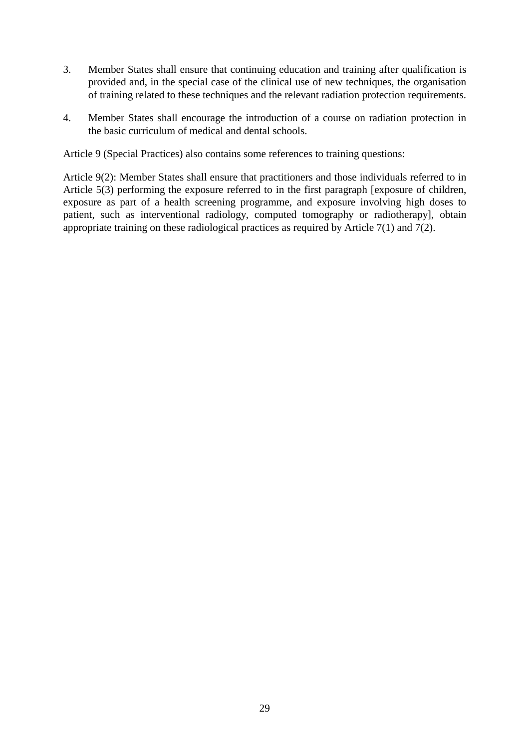- 3. Member States shall ensure that continuing education and training after qualification is provided and, in the special case of the clinical use of new techniques, the organisation of training related to these techniques and the relevant radiation protection requirements.
- 4. Member States shall encourage the introduction of a course on radiation protection in the basic curriculum of medical and dental schools.

Article 9 (Special Practices) also contains some references to training questions:

Article 9(2): Member States shall ensure that practitioners and those individuals referred to in Article 5(3) performing the exposure referred to in the first paragraph [exposure of children, exposure as part of a health screening programme, and exposure involving high doses to patient, such as interventional radiology, computed tomography or radiotherapy], obtain appropriate training on these radiological practices as required by Article 7(1) and 7(2).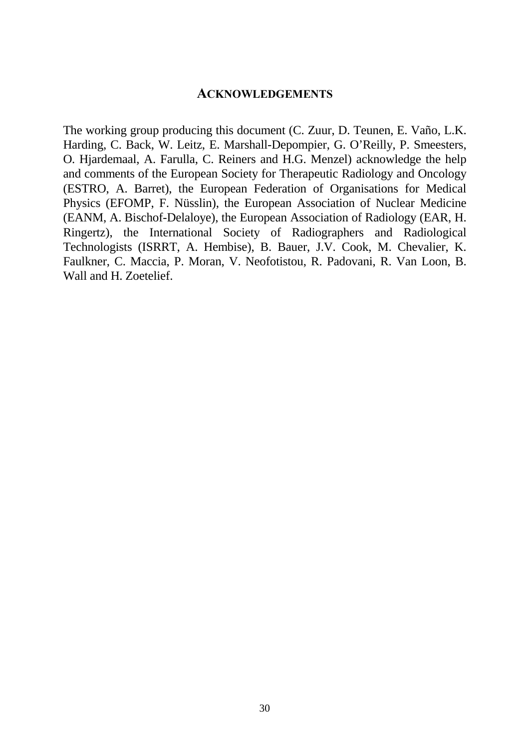#### $ACKNOWLEDGEMENTS$

The working group producing this document (C. Zuur, D. Teunen, E. Vaño, L.K. Harding, C. Back, W. Leitz, E. Marshall-Depompier, G. O'Reilly, P. Smeesters, O. Hjardemaal, A. Farulla, C. Reiners and H.G. Menzel) acknowledge the help and comments of the European Society for Therapeutic Radiology and Oncology (ESTRO, A. Barret), the European Federation of Organisations for Medical Physics (EFOMP, F. Nüsslin), the European Association of Nuclear Medicine (EANM, A. Bischof-Delaloye), the European Association of Radiology (EAR, H. Ringertz), the International Society of Radiographers and Radiological Technologists (ISRRT, A. Hembise), B. Bauer, J.V. Cook, M. Chevalier, K. Faulkner, C. Maccia, P. Moran, V. Neofotistou, R. Padovani, R. Van Loon, B. Wall and H. Zoetelief.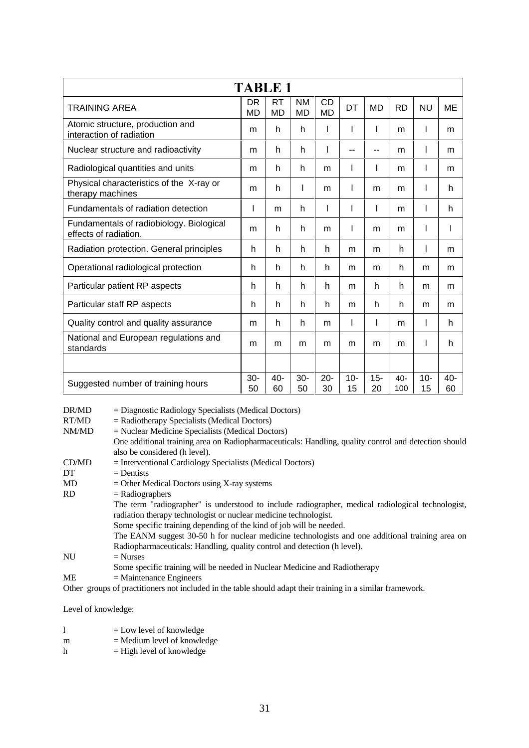| <b>TABLE 1</b>                                                    |              |                        |                        |                        |              |              |               |              |           |
|-------------------------------------------------------------------|--------------|------------------------|------------------------|------------------------|--------------|--------------|---------------|--------------|-----------|
| <b>TRAINING AREA</b>                                              |              | <b>RT</b><br><b>MD</b> | <b>NM</b><br><b>MD</b> | <b>CD</b><br><b>MD</b> | DT           | <b>MD</b>    | <b>RD</b>     | <b>NU</b>    | ME        |
| Atomic structure, production and<br>interaction of radiation      |              | h                      | h                      |                        | I            |              | m             | I            | m         |
| Nuclear structure and radioactivity                               |              | h                      | h                      |                        | --           | --           | m             | ı            | m         |
| Radiological quantities and units                                 |              | h                      | h                      | m                      | I            |              | m             | I            | m         |
| Physical characteristics of the X-ray or<br>therapy machines      |              | h                      | L                      | m                      | $\mathbf{I}$ | m            | m             | I            | h         |
| Fundamentals of radiation detection                               |              | m                      | h                      |                        |              |              | m             | ı            | h         |
| Fundamentals of radiobiology. Biological<br>effects of radiation. |              | h                      | h                      | m                      |              | m            | m             | I            |           |
| Radiation protection. General principles                          |              | h                      | h                      | h                      | m            | m            | h             | I            | m         |
| Operational radiological protection                               |              | h                      | h                      | h                      | m            | m            | h             | m            | m         |
| Particular patient RP aspects                                     |              | h                      | h                      | h                      | m            | h            | h             | m            | m         |
| Particular staff RP aspects                                       |              | h                      | h                      | h                      | m            | h            | h             | m            | m         |
| Quality control and quality assurance                             |              | h                      | h                      | m                      | I            | $\mathsf{I}$ | m             | I            | h         |
| National and European regulations and<br>standards                |              | m                      | m                      | m                      | m            | m            | m             | ı            | h         |
|                                                                   |              |                        |                        |                        |              |              |               |              |           |
| Suggested number of training hours                                | $30 -$<br>50 | 40-<br>60              | $30 -$<br>50           | $20 -$<br>30           | $10 -$<br>15 | $15 -$<br>20 | $40 -$<br>100 | $10 -$<br>15 | 40-<br>60 |

| DR/MD | $=$ Diagnostic Radiology Specialists (Medical Doctors)                                                      |
|-------|-------------------------------------------------------------------------------------------------------------|
| RT/MD | $=$ Radiotherapy Specialists (Medical Doctors)                                                              |
| NM/MD | = Nuclear Medicine Specialists (Medical Doctors)                                                            |
|       | One additional training area on Radiopharmaceuticals: Handling, quality control and detection should        |
|       | also be considered (h level).                                                                               |
| CD/MD | $=$ Interventional Cardiology Specialists (Medical Doctors)                                                 |
| DT    | $=$ Dentists                                                                                                |
| MD    | $=$ Other Medical Doctors using X-ray systems                                                               |
| RD.   | $=$ Radiographers                                                                                           |
|       | The term "radiographer" is understood to include radiographer, medical radiological technologist,           |
|       | radiation therapy technologist or nuclear medicine technologist.                                            |
|       | Some specific training depending of the kind of job will be needed.                                         |
|       | The EANM suggest 30-50 h for nuclear medicine technologists and one additional training area on             |
|       | Radiopharmaceuticals: Handling, quality control and detection (h level).                                    |
| NU    | $=$ Nurses                                                                                                  |
|       | Some specific training will be needed in Nuclear Medicine and Radiotherapy                                  |
| ME    | $=$ Maintenance Engineers                                                                                   |
|       | Other groups of practitioners not included in the table should adapt their training in a similar framework. |

Level of knowledge:

|   | $=$ Low level of knowledge    |
|---|-------------------------------|
| m | $=$ Medium level of knowledge |
| h | $=$ High level of knowledge   |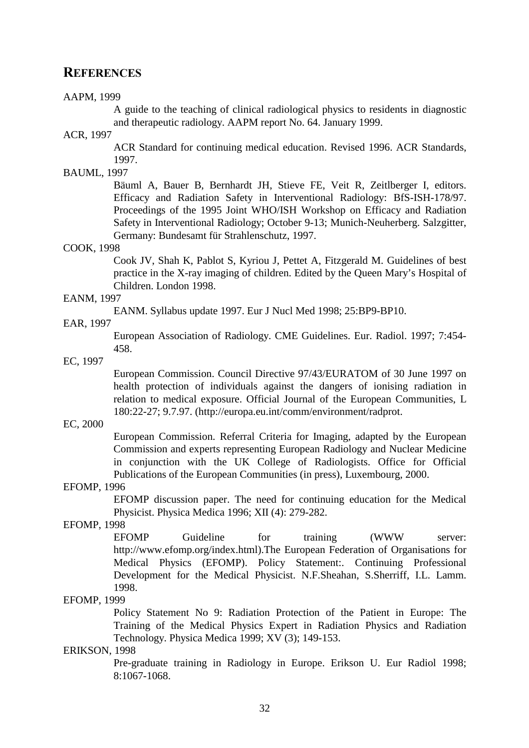#### REFERENCES

#### AAPM, 1999

A guide to the teaching of clinical radiological physics to residents in diagnostic and therapeutic radiology. AAPM report No. 64. January 1999.

#### ACR, 1997

ACR Standard for continuing medical education. Revised 1996. ACR Standards, 1997.

#### BAUML, 1997

Bäuml A, Bauer B, Bernhardt JH, Stieve FE, Veit R, Zeitlberger I, editors. Efficacy and Radiation Safety in Interventional Radiology: BfS-ISH-178/97. Proceedings of the 1995 Joint WHO/ISH Workshop on Efficacy and Radiation Safety in Interventional Radiology; October 9-13; Munich-Neuherberg. Salzgitter, Germany: Bundesamt für Strahlenschutz, 1997.

#### COOK, 1998

Cook JV, Shah K, Pablot S, Kyriou J, Pettet A, Fitzgerald M. Guidelines of best practice in the X-ray imaging of children. Edited by the Queen Mary's Hospital of Children. London 1998.

#### EANM, 1997

EANM. Syllabus update 1997. Eur J Nucl Med 1998; 25:BP9-BP10.

#### EAR, 1997

European Association of Radiology. CME Guidelines. Eur. Radiol. 1997; 7:454- 458.

#### EC, 1997

European Commission. Council Directive 97/43/EURATOM of 30 June 1997 on health protection of individuals against the dangers of ionising radiation in relation to medical exposure. Official Journal of the European Communities, L 180:22-27; 9.7.97. (http://europa.eu.int/comm/environment/radprot.

#### EC, 2000

European Commission. Referral Criteria for Imaging, adapted by the European Commission and experts representing European Radiology and Nuclear Medicine in conjunction with the UK College of Radiologists. Office for Official Publications of the European Communities (in press), Luxembourg, 2000.

#### EFOMP, 1996

EFOMP discussion paper. The need for continuing education for the Medical Physicist. Physica Medica 1996; XII (4): 279-282.

#### EFOMP, 1998

EFOMP Guideline for training (WWW server: http://www.efomp.org/index.html).The European Federation of Organisations for Medical Physics (EFOMP). Policy Statement:. Continuing Professional Development for the Medical Physicist. N.F.Sheahan, S.Sherriff, I.L. Lamm. 1998.

#### EFOMP, 1999

Policy Statement No 9: Radiation Protection of the Patient in Europe: The Training of the Medical Physics Expert in Radiation Physics and Radiation Technology. Physica Medica 1999; XV (3); 149-153.

#### ERIKSON, 1998

Pre-graduate training in Radiology in Europe. Erikson U. Eur Radiol 1998; 8:1067-1068.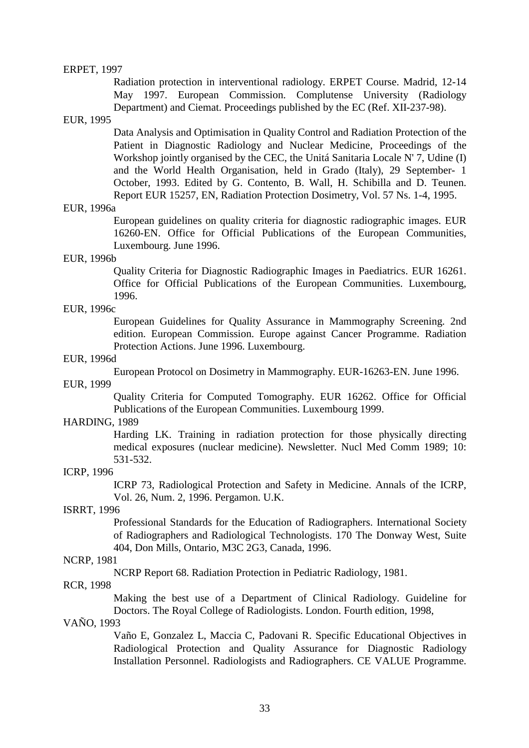#### ERPET, 1997

Radiation protection in interventional radiology. ERPET Course. Madrid, 12-14 May 1997. European Commission. Complutense University (Radiology Department) and Ciemat. Proceedings published by the EC (Ref. XII-237-98).

#### EUR, 1995

Data Analysis and Optimisation in Quality Control and Radiation Protection of the Patient in Diagnostic Radiology and Nuclear Medicine, Proceedings of the Workshop jointly organised by the CEC, the Unitá Sanitaria Locale N' 7, Udine (I) and the World Health Organisation, held in Grado (Italy), 29 September- 1 October, 1993. Edited by G. Contento, B. Wall, H. Schibilla and D. Teunen. Report EUR 15257, EN, Radiation Protection Dosimetry, Vol. 57 Ns. 1-4, 1995.

#### EUR, 1996a

European guidelines on quality criteria for diagnostic radiographic images. EUR 16260-EN. Office for Official Publications of the European Communities, Luxembourg. June 1996.

#### EUR, 1996b

Quality Criteria for Diagnostic Radiographic Images in Paediatrics. EUR 16261. Office for Official Publications of the European Communities. Luxembourg, 1996.

#### EUR, 1996c

European Guidelines for Quality Assurance in Mammography Screening. 2nd edition. European Commission. Europe against Cancer Programme. Radiation Protection Actions. June 1996. Luxembourg.

#### EUR, 1996d

European Protocol on Dosimetry in Mammography. EUR-16263-EN. June 1996.

#### EUR, 1999

Quality Criteria for Computed Tomography. EUR 16262. Office for Official Publications of the European Communities. Luxembourg 1999.

#### HARDING, 1989

Harding LK. Training in radiation protection for those physically directing medical exposures (nuclear medicine). Newsletter. Nucl Med Comm 1989; 10: 531-532.

#### ICRP, 1996

ICRP 73, Radiological Protection and Safety in Medicine. Annals of the ICRP, Vol. 26, Num. 2, 1996. Pergamon. U.K.

#### ISRRT, 1996

Professional Standards for the Education of Radiographers. International Society of Radiographers and Radiological Technologists. 170 The Donway West, Suite 404, Don Mills, Ontario, M3C 2G3, Canada, 1996.

#### NCRP, 1981

NCRP Report 68. Radiation Protection in Pediatric Radiology, 1981.

#### RCR, 1998

Making the best use of a Department of Clinical Radiology. Guideline for Doctors. The Royal College of Radiologists. London. Fourth edition, 1998,

#### VAÑO, 1993

Vaño E, Gonzalez L, Maccia C, Padovani R. Specific Educational Objectives in Radiological Protection and Quality Assurance for Diagnostic Radiology Installation Personnel. Radiologists and Radiographers. CE VALUE Programme.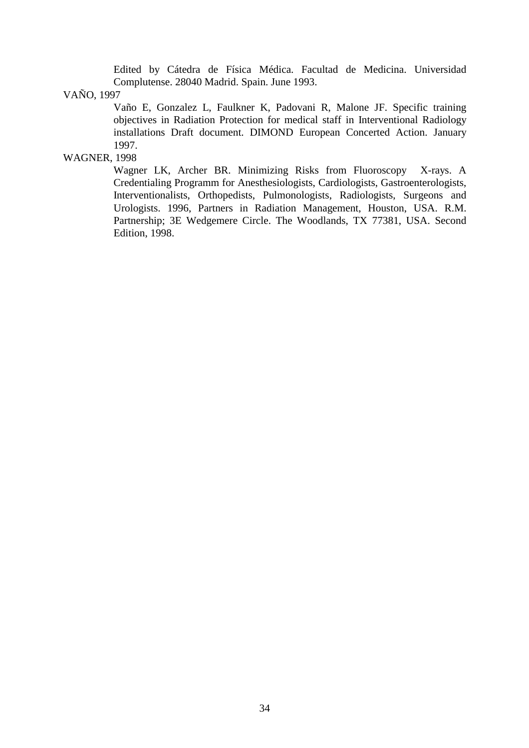Edited by Cátedra de Física Médica. Facultad de Medicina. Universidad Complutense. 28040 Madrid. Spain. June 1993.

#### VAÑO, 1997

Vaño E, Gonzalez L, Faulkner K, Padovani R, Malone JF. Specific training objectives in Radiation Protection for medical staff in Interventional Radiology installations Draft document. DIMOND European Concerted Action. January 1997.

### WAGNER, 1998

Wagner LK, Archer BR. Minimizing Risks from Fluoroscopy X-rays. A Credentialing Programm for Anesthesiologists, Cardiologists, Gastroenterologists, Interventionalists, Orthopedists, Pulmonologists, Radiologists, Surgeons and Urologists. 1996, Partners in Radiation Management, Houston, USA. R.M. Partnership; 3E Wedgemere Circle. The Woodlands, TX 77381, USA. Second Edition, 1998.